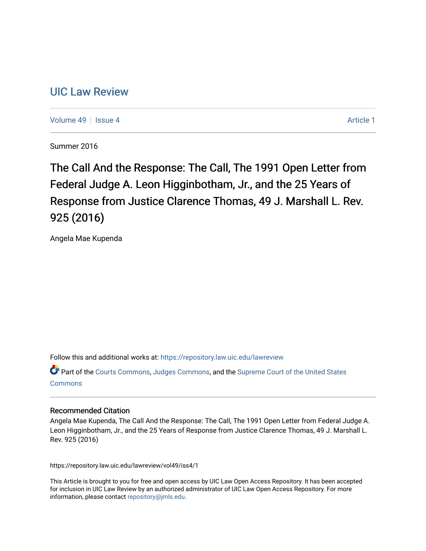# [UIC Law Review](https://repository.law.uic.edu/lawreview)

[Volume 49](https://repository.law.uic.edu/lawreview/vol49) | [Issue 4](https://repository.law.uic.edu/lawreview/vol49/iss4) Article 1

Summer 2016

The Call And the Response: The Call, The 1991 Open Letter from Federal Judge A. Leon Higginbotham, Jr., and the 25 Years of Response from Justice Clarence Thomas, 49 J. Marshall L. Rev. 925 (2016)

Angela Mae Kupenda

Follow this and additional works at: [https://repository.law.uic.edu/lawreview](https://repository.law.uic.edu/lawreview?utm_source=repository.law.uic.edu%2Flawreview%2Fvol49%2Fiss4%2F1&utm_medium=PDF&utm_campaign=PDFCoverPages) 

Part of the [Courts Commons,](http://network.bepress.com/hgg/discipline/839?utm_source=repository.law.uic.edu%2Flawreview%2Fvol49%2Fiss4%2F1&utm_medium=PDF&utm_campaign=PDFCoverPages) [Judges Commons](http://network.bepress.com/hgg/discipline/849?utm_source=repository.law.uic.edu%2Flawreview%2Fvol49%2Fiss4%2F1&utm_medium=PDF&utm_campaign=PDFCoverPages), and the [Supreme Court of the United States](http://network.bepress.com/hgg/discipline/1350?utm_source=repository.law.uic.edu%2Flawreview%2Fvol49%2Fiss4%2F1&utm_medium=PDF&utm_campaign=PDFCoverPages) **[Commons](http://network.bepress.com/hgg/discipline/1350?utm_source=repository.law.uic.edu%2Flawreview%2Fvol49%2Fiss4%2F1&utm_medium=PDF&utm_campaign=PDFCoverPages)** 

#### Recommended Citation

Angela Mae Kupenda, The Call And the Response: The Call, The 1991 Open Letter from Federal Judge A. Leon Higginbotham, Jr., and the 25 Years of Response from Justice Clarence Thomas, 49 J. Marshall L. Rev. 925 (2016)

https://repository.law.uic.edu/lawreview/vol49/iss4/1

This Article is brought to you for free and open access by UIC Law Open Access Repository. It has been accepted for inclusion in UIC Law Review by an authorized administrator of UIC Law Open Access Repository. For more information, please contact [repository@jmls.edu.](mailto:repository@jmls.edu)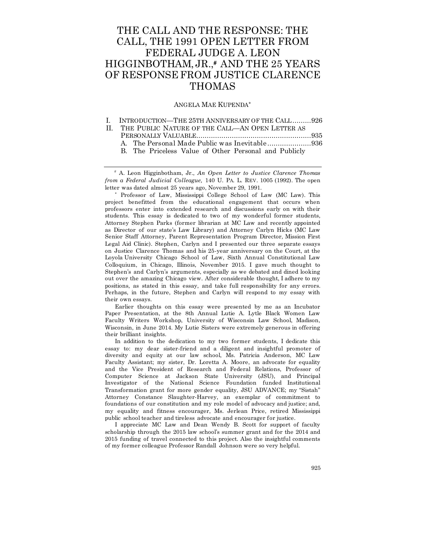# THE CALL AND THE RESPONSE: THE CALL, THE 1991 OPEN LETTER FROM FEDERAL JUDGE A. LEON HIGGINBOTHAM, JR.,# AND THE 25 YEARS OF RESPONSE FROM JUSTICE CLARENCE THOMAS

#### ANGELA MAE KUPENDA\*

|  |  |  |  | INTRODUCTION—THE 25TH ANNIVERSARY OF THE CALL926 |  |
|--|--|--|--|--------------------------------------------------|--|
|--|--|--|--|--------------------------------------------------|--|

| II. THE PUBLIC NATURE OF THE CALL—AN OPEN LETTER AS   |
|-------------------------------------------------------|
|                                                       |
|                                                       |
| B. The Priceless Value of Other Personal and Publicly |

 A. Leon Higginbotham, Jr., *An Open Letter to Justice Clarence Thomas from a Federal Judicial Colleague,* 140 U. PA. L. REV. 1005 (1992). The open letter was dated almost 25 years ago, November 29, 1991.

\* Professor of Law, Mississippi College School of Law (MC Law). This project benefitted from the educational engagement that occurs when professors enter into extended research and discussions early on with their students. This essay is dedicated to two of my wonderful former students, Attorney Stephen Parks (former librarian at MC Law and recently appointed as Director of our state's Law Library) and Attorney Carlyn Hicks (MC Law Senior Staff Attorney, Parent Representation Program Director, Mission First Legal Aid Clinic). Stephen, Carlyn and I presented our three separate essays on Justice Clarence Thomas and his 25-year anniversary on the Court, at the Loyola University Chicago School of Law, Sixth Annual Constitutional Law Colloquium, in Chicago, Illinois, November 2015. I gave much thought to Stephen's and Carlyn's arguments, especially as we debated and dined looking out over the amazing Chicago view. After considerable thought, I adhere to my positions, as stated in this essay, and take full responsibility for any errors. Perhaps, in the future, Stephen and Carlyn will respond to my essay with their own essays.

Earlier thoughts on this essay were presented by me as an Incubator Paper Presentation, at the 8th Annual Lutie A. Lytle Black Women Law Faculty Writers Workshop, University of Wisconsin Law School, Madison, Wisconsin, in June 2014. My Lutie Sisters were extremely generous in offering their brilliant insights.

In addition to the dedication to my two former students, I dedicate this essay to: my dear sister-friend and a diligent and insightful promoter of diversity and equity at our law school, Ms. Patricia Anderson, MC Law Faculty Assistant; my sister, Dr. Loretta A. Moore, an advocate for equality and the Vice President of Research and Federal Relations, Professor of Computer Science at Jackson State University (JSU), and Principal Investigator of the National Science Foundation funded Institutional Transformation grant for more gender equality, JSU ADVANCE; my "Sistah" Attorney Constance Slaughter-Harvey, an exemplar of commitment to foundations of our constitution and my role model of advocacy and justice; and, my equality and fitness encourager, Ms. Jerlean Price, retired Mississippi public school teacher and tireless advocate and encourager for justice.

I appreciate MC Law and Dean Wendy B. Scott for support of faculty scholarship through the 2015 law school's summer grant and for the 2014 and 2015 funding of travel connected to this project. Also the insightful comments of my former colleague Professor Randall Johnson were so very helpful.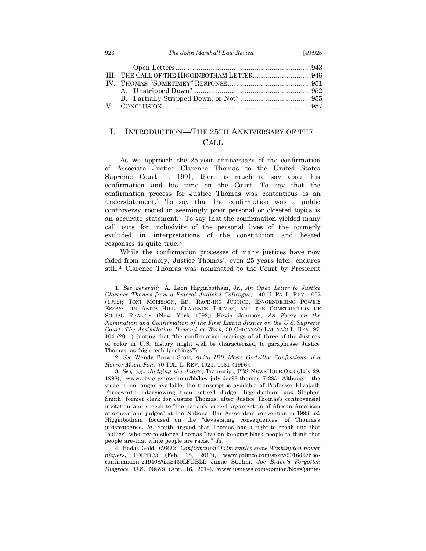#### 926 *The John Marshall Law Review* [49:925

| III. THE CALL OF THE HIGGINBOTHAM LETTER946 |  |
|---------------------------------------------|--|
|                                             |  |
|                                             |  |
|                                             |  |
|                                             |  |

## I. INTRODUCTION—THE 25TH ANNIVERSARY OF THE CALL

As we approach the 25-year anniversary of the confirmation of Associate Justice Clarence Thomas to the United States Supreme Court in 1991, there is much to say about his confirmation and his time on the Court. To say that the confirmation process for Justice Thomas was contentious is an understatement.<sup>1</sup> To say that the confirmation was a public controversy rooted in seemingly prior personal or closeted topics is an accurate statement.<sup>2</sup> To say that the confirmation yielded many call outs for inclusivity of the personal lives of the formerly excluded in interpretations of the constitution and heated responses is quite true.<sup>3</sup>

While the confirmation processes of many justices have now faded from memory, Justice Thomas', even 25 years later, endures still.<sup>4</sup> Clarence Thomas was nominated to the Court by President

2. *See* Wendy Brown-Scott, *Anita Hill Meets Godzilla: Confessions of a Horror Movie Fan,* 70 TUL. L. REV. 1921, 1931 (1996).

3. *See, e.g., Judging the Judge*, Transcript, PBS NEWSHOUR.ORG (July 29, 1998), www.pbs.org/newshour/bb/law-july-dec98-thomas\_7-29/. Although the video is no longer available, the transcript is available of Professor Elizabeth Farnsworth interviewing then retired Judge Higginbotham and Stephen Smith, former clerk for Justice Thomas, after Justice Thomas's controversial invitation and speech to "the nation's largest organization of African-American attorneys and judges" at the National Bar Association convention in 1998. *Id.* Higginbotham focused on the "devastating consequences" of Thomas's jurisprudence. *Id.* Smith argued that Thomas had a right to speak and that "bullies" who try to silence Thomas "live on keeping black people to think that people are-that white people are racist." *Id*.

4. Hadas Gold, *HBO's 'Confirmation' Film rattles some Washington power players***,** POLITICO (Feb. 18, 2016), www.politico.com/story/2016/02/hboconfirmation-219408#ixzz430LFUBLI; Jamie Stiehm, *Joe Biden's Forgotten Disgrace,* U.S. NEWS (Apr. 16, 2014), www.usnews.com/opinion/blogs/jamie-

<sup>1.</sup> *See generally* A. Leon Higginbotham, Jr., *An Open Letter to Justice Clarence Thomas from a Federal Judicial Colleague,* 140 U. PA. L. REV. 1005 (1992); TONI MORRISON, ED., RACE-ING JUSTICE, EN-GENDERING POWER: ESSAYS ON ANITA HILL, CLARENCE THOMAS, AND THE CONSTRUCTION OF SOCIAL REALITY (New York 1992); Kevin Johnson, *An Essay on the Nomination and Confirmation of the First Latina Justice on the U.S. Supreme Court: The Assimilation Demand at Work,* 30 CHICANA/O-LATINA/O L. REV. 97, 104 (2011) (noting that "the confirmation hearings of all three of the Justices of color in U.S. history might well be characterized, to paraphrase Justice Thomas, as 'high-tech lynchings'").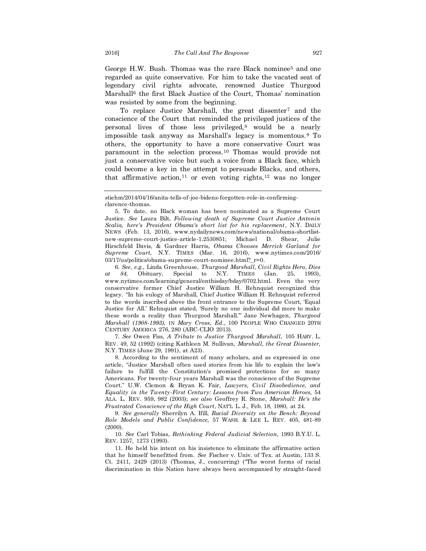George H.W. Bush. Thomas was the rare Black nominee<sup>5</sup> and one regarded as quite conservative. For him to take the vacated seat of legendary civil rights advocate, renowned Justice Thurgood Marshall<sup>6</sup> the first Black Justice of the Court, Thomas' nomination was resisted by some from the beginning.

To replace Justice Marshall, the great dissenter<sup>7</sup> and the conscience of the Court that reminded the privileged justices of the personal lives of those less privileged,<sup>8</sup> would be a nearly impossible task anyway as Marshall's legacy is momentous.<sup>9</sup> To others, the opportunity to have a more conservative Court was paramount in the selection process.<sup>10</sup> Thomas would provide not just a conservative voice but such a voice from a Black face, which could become a key in the attempt to persuade Blacks, and others, that affirmative action,  $11$  or even voting rights,  $12$  was no longer

6. *See, e.g.,* Linda Greenhouse, *Thurgood Marshall, Civil Rights Hero, Dies at 84,* Obituary, Special to N.Y. TIMES (Jan. 25, 1993), www.nytimes.com/learning/general/onthisday/bday/0702.html. Even the very conservative former Chief Justice William H. Rehnquist recognized this legacy. "In his eulogy of Marshall, Chief Justice William H. Rehnquist referred to the words inscribed above the front entrance to the Supreme Court, 'Equal Justice for All.' Rehnquist stated, 'Surely no one individual did more to make these words a reality than Thurgood Marshall.'" Jane Newhagen, *Thurgood Marshall (1908-1993),* IN *Mary Cross, Ed.*, 100 PEOPLE WHO CHANGED 20TH CENTURY AMERICA 276, 280 (ABC-CLIO 2013).

7. *See* Owen Fiss, *A Tribute to Justice Thurgood Marshall,* 105 HARV. L. REV. 49, 52 (1992) (citing Kathleen M. Sullivan, *Marshall, the Great Dissenter,* N.Y. TIMES (June 29, 1991), at A23).

8. According to the sentiment of many scholars, and as expressed in one article, "Justice Marshall often used stories from his life to explain the law's failure to fulfill the Constitution's promised protections for so many Americans. For twenty-four years Marshall was the conscience of the Supreme Court." U.W. Clemon & Bryan K. Fair, *Lawyers, Civil Disobedience, and Equality in the Twenty-First Century: Lessons from Two American Heroes,* 54 ALA. L. REV. 959, 982 (2003); *see also* Geoffrey R. Stone, *Marshall: He's the Frustrated Conscience of the High Court*, NAT'L L. J., Feb. 18, 1980, at 24.

9. *See generally* Sherrilyn A. Ifill, *Racial Diversity on the Bench: Beyond Role Models and Public Confidence,* 57 WASH. & LEE L. REV. 405, 481-89 (2000).

10. *See* Carl Tobias, *Rethinking Federal Judicial Selection,* 1993 B.Y.U. L. REV. 1257, 1273 (1993).

11. He held his intent on his insistence to eliminate the affirmative action that he himself benefitted from. *See* Fischer v. Univ. of Tex. at Austin, 133 S. Ct. 2411, 2429 (2013) (Thomas, J., concurring) ("The worst forms of racial discrimination in this Nation have always been accompanied by straight-faced

stiehm/2014/04/16/anita-tells-of-joe-bidens-forgotten-role-in-confirmingclarence-thomas.

<sup>5.</sup> To date, no Black woman has been nominated as a Supreme Court Justice. *See* Laura Bilt, *Following death of Supreme Court Justice Antonin Scalia, here's President Obama's short list for his replacement*, N.Y. DAILY NEWS (Feb. 13, 2016), www.nydailynews.com/news/national/obama-shortlistnew-supreme-court-justice-article-1.2530851; Michael D. Shear, Julie Hirschfeld Davis, & Gardner Harris, *Obama Chooses Merrick Garland for Supreme Court,* N.Y. TIMES (Mar. 16, 2016), www.nytimes.com/2016/ 03/17/us/politics/obama-supreme-court-nominee.html?\_r=0.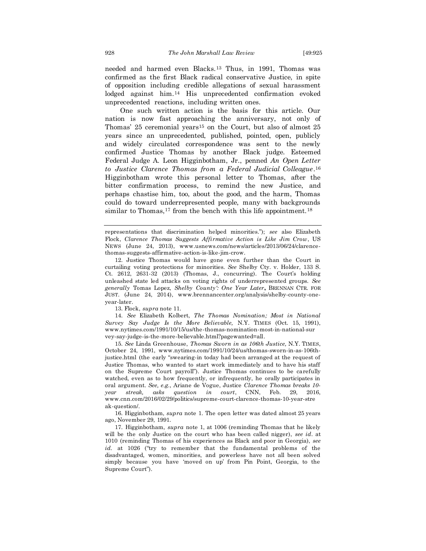needed and harmed even Blacks.<sup>13</sup> Thus, in 1991, Thomas was confirmed as the first Black radical conservative Justice, in spite of opposition including credible allegations of sexual harassment lodged against him.<sup>14</sup> His unprecedented confirmation evoked unprecedented reactions, including written ones.

One such written action is the basis for this article. Our nation is now fast approaching the anniversary, not only of Thomas' 25 ceremonial years<sup>15</sup> on the Court, but also of almost 25 years since an unprecedented, published, pointed, open, publicly and widely circulated correspondence was sent to the newly confirmed Justice Thomas by another Black judge. Esteemed Federal Judge A. Leon Higginbotham, Jr., penned *An Open Letter to Justice Clarence Thomas from a Federal Judicial Colleague*. 16 Higginbotham wrote this personal letter to Thomas, after the bitter confirmation process, to remind the new Justice, and perhaps chastise him, too, about the good, and the harm, Thomas could do toward underrepresented people, many with backgrounds similar to Thomas,<sup>17</sup> from the bench with this life appointment.<sup>18</sup>

12. Justice Thomas would have gone even further than the Court in curtailing voting protections for minorities. *See* Shelby Cty. v. Holder, 133 S. Ct. 2612, 2631-32 (2013) (Thomas, J., concurring). The Court's holding unleashed state led attacks on voting rights of underrepresented groups. *See generally* Tomas Lopez, *Shelby County': One Year Later***,** BRENNAN CTR. FOR JUST. (June 24, 2014), www.brennancenter.org/analysis/shelby-county-oneyear-later.

13. Flock, *supra* note 11.

14. *See* Elizabeth Kolbert, *The Thomas Nomination; Most in National Survey Say Judge Is the More Believable,* N.Y. TIMES (Oct. 15, 1991), www.nytimes.com/1991/10/15/us/the-thomas-nomination-most-in-national-sur vey-say-judge-is-the-more-believable.html?pagewanted=all.

15. *See* Linda Greenhouse, *Thomas Sworn in as 106th Justice,* N.Y. TIMES, October 24, 1991, www.nytimes.com/1991/10/24/us/thomas-sworn-in-as-106thjustice.html (the early "swearing-in today had been arranged at the request of Justice Thomas, who wanted to start work immediately and to have his staff on the Supreme Court payroll"). Justice Thomas continues to be carefully watched, even as to how frequently, or infrequently, he orally participates in oral argument. *See, e.g.*, Ariane de Vogue, Justice *Clarence Thomas breaks 10 year streak, asks question in court*, CNN, Feb. 29, 2016, www.cnn.com/2016/02/29/politics/supreme-court-clarence-thomas-10-year-stre ak-question/.

16. Higginbotham, *supra* note 1. The open letter was dated almost 25 years ago, November 29, 1991.

17. Higginbotham, *supra* note 1, at 1006 (reminding Thomas that he likely will be the only Justice on the court who has been called nigger), *see id*. at 1010 (reminding Thomas of his experiences as Black and poor in Georgia), *see id.* at 1026 ("try to remember that the fundamental problems of the disadvantaged, women, minorities, and powerless have not all been solved simply because you have 'moved on up' from Pin Point, Georgia, to the Supreme Court").

representations that discrimination helped minorities."); *see* also Elizabeth Flock, *Clarence Thomas Suggests Affirmative Action is Like Jim Crow*, US NEWS (June 24, 2013), www.usnews.com/news/articles/2013/06/24/clarencethomas-suggests-affirmative-action-is-like-jim-crow.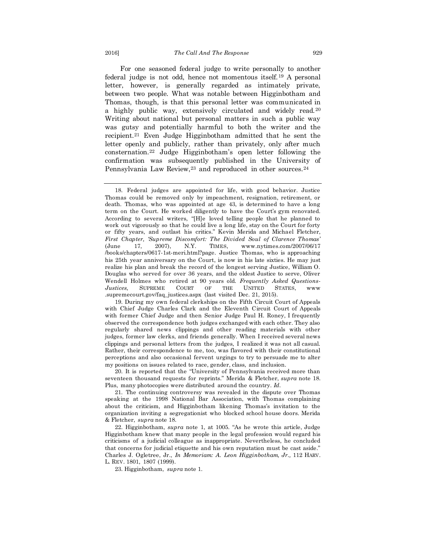For one seasoned federal judge to write personally to another federal judge is not odd, hence not momentous itself.<sup>19</sup> A personal letter, however, is generally regarded as intimately private, between two people. What was notable between Higginbotham and Thomas, though, is that this personal letter was communicated in a highly public way, extensively circulated and widely read.<sup>20</sup> Writing about national but personal matters in such a public way was gutsy and potentially harmful to both the writer and the recipient.<sup>21</sup> Even Judge Higginbotham admitted that he sent the letter openly and publicly, rather than privately, only after much consternation.<sup>22</sup> Judge Higginbotham's open letter following the confirmation was subsequently published in the University of Pennsylvania Law Review,<sup>23</sup> and reproduced in other sources.<sup>24</sup>

20. It is reported that the "University of Pennsylvania received more than seventeen thousand requests for reprints." Merida & Fletcher, *supra* note 18. Plus, many photocopies were distributed around the country. *Id.*

21. The continuing controversy was revealed in the dispute over Thomas speaking at the 1998 National Bar Association, with Thomas complaining about the criticism, and Higginbotham likening Thomas's invitation to the organization inviting a segregationist who blocked school house doors. Merida & Fletcher, *supra* note 18.

22. Higginbotham, *supra* note 1, at 1005. "As he wrote this article, Judge Higginbotham knew that many people in the legal profession would regard his criticisms of a judicial colleague as inappropriate. Nevertheless, he concluded that concerns for judicial etiquette and his own reputation must be cast aside." Charles J. Ogletree, Jr., *In Memoriam: A. Leon Higginbotham, Jr.,* 112 HARV. L. REV. 1801, 1807 (1999).

23. Higginbotham, *supra* note 1.

<sup>18.</sup> Federal judges are appointed for life, with good behavior. Justice Thomas could be removed only by impeachment, resignation, retirement, or death. Thomas, who was appointed at age 43, is determined to have a long term on the Court. He worked diligently to have the Court's gym renovated. According to several writers, "[H]e loved telling people that he planned to work out vigorously so that he could live a long life, stay on the Court for forty or fifty years, and outlast his critics." Kevin Merida and Michael Fletcher, *First Chapter, 'Supreme Discomfort: The Divided Soul of Clarence Thomas'* (June 17, 2007), N.Y. TIMES, www.nytimes.com/2007/06/17 /books/chapters/0617-1st-meri.html?page. Justice Thomas, who is approaching his 25th year anniversary on the Court, is now in his late sixties. He may just realize his plan and break the record of the longest serving Justice, William O. Douglas who served for over 36 years, and the oldest Justice to serve, Oliver Wendell Holmes who retired at 90 years old. *Frequently Asked Questions-Justices,* SUPREME COURT OF THE UNITED STATES, www .supremecourt.gov/faq\_justices.aspx (last visited Dec. 21, 2015).

<sup>19.</sup> During my own federal clerkships on the Fifth Circuit Court of Appeals with Chief Judge Charles Clark and the Eleventh Circuit Court of Appeals with former Chief Judge and then Senior Judge Paul H. Roney, I frequently observed the correspondence both judges exchanged with each other. They also regularly shared news clippings and other reading materials with other judges, former law clerks, and friends generally. When I received several news clippings and personal letters from the judges, I realized it was not all casual. Rather, their correspondence to me, too, was flavored with their constitutional perceptions and also occasional fervent urgings to try to persuade me to alter my positions on issues related to race, gender, class, and inclusion.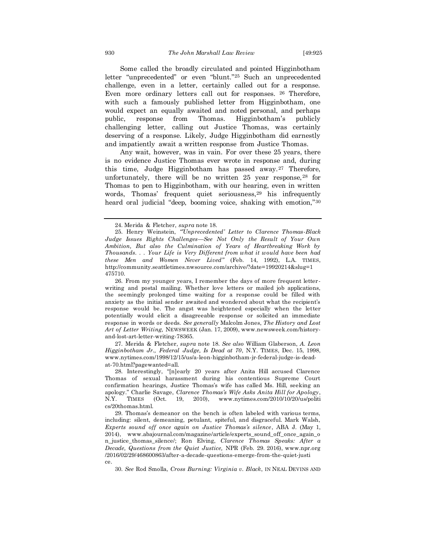Some called the broadly circulated and pointed Higginbotham letter "unprecedented" or even "blunt."<sup>25</sup> Such an unprecedented challenge, even in a letter, certainly called out for a response. Even more ordinary letters call out for responses. <sup>26</sup> Therefore, with such a famously published letter from Higginbotham, one would expect an equally awaited and noted personal, and perhaps public, response from Thomas. Higginbotham's publicly challenging letter, calling out Justice Thomas, was certainly deserving of a response. Likely, Judge Higginbotham did earnestly and impatiently await a written response from Justice Thomas.

Any wait, however, was in vain. For over these 25 years, there is no evidence Justice Thomas ever wrote in response and, during this time, Judge Higginbotham has passed away.<sup>27</sup> Therefore, unfortunately, there will be no written  $25$  year response,  $28$  for Thomas to pen to Higginbotham, with our hearing, even in written words, Thomas' frequent quiet seriousness,<sup>29</sup> his infrequently heard oral judicial "deep, booming voice, shaking with emotion,"<sup>30</sup>

27. Merida & Fletcher, *supra* note 18. *See also* William Glaberson, *A. Leon Higginbotham Jr., Federal Judge, Is Dead at 70*, N.Y. TIMES, Dec. 15, 1998, www.nytimes.com/1998/12/15/us/a-leon-higginbotham-jr-federal-judge-is-deadat-70.html?pagewanted=all.

30. *See* Rod Smolla, *Cross Burning: Virginia v. Black*, IN NEAL DEVINS AND

<sup>24.</sup> Merida & Fletcher, *supra* note 18.

<sup>25.</sup> Henry Weinstein, *"'Unprecedented' Letter to Clarence Thomas-Black Judge Issues Rights Challenges—See Not Only the Result of Your Own Ambition, But also the Culmination of Years of Heartbreaking Work by Thousands. . . Your Life is Very Different from what it would have been had these Men and Women Never Lived"* (Feb. 14, 1992), L.A. TIMES, http://community.seattletimes.nwsource.com/archive/?date=19920214&slug=1 475710.

<sup>26.</sup> From my younger years, I remember the days of more frequent letterwriting and postal mailing. Whether love letters or mailed job applications, the seemingly prolonged time waiting for a response could be filled with anxiety as the initial sender awaited and wondered about what the recipient's response would be. The angst was heightened especially when the letter potentially would elicit a disagreeable response or solicited an immediate response in words or deeds. *See generally* Malcolm Jones, *The History and Lost Art of Letter Writing,* NEWSWEEK (Jan. 17, 2009), www.newsweek.com/historyand-lost-art-letter-writing-78365.

<sup>28.</sup> Interestingly, "[n]early 20 years after Anita Hill accused Clarence Thomas of sexual harassment during his contentious Supreme Court confirmation hearings, Justice Thomas's wife has called Ms. Hill, seeking an apology." Charlie Savage, *Clarence Thomas's Wife Asks Anita Hill for Apology*, N.Y. TIMES (Oct. 19, 2010), www.nytimes.com/2010/10/20/us/politi cs/20thomas.html.

<sup>29.</sup> Thomas's demeanor on the bench is often labeled with various terms, including: silent, demeaning, petulant, spiteful, and disgraceful. Mark Walsh, *Experts sound off once again on Justice Thomas's silence*, ABA J. (May 1, 2014), www.abajournal.com/magazine/article/experts\_sound\_off\_once\_again\_o n\_justice\_thomas\_silence/; Ron Elving, *Clarence Thomas Speaks: After a Decade, Questions from the Quiet Justice,* NPR (Feb. 29. 2016), www.npr.org /2016/02/29/468600863/after-a-decade-questions-emerge-from-the-quiet-justi ce.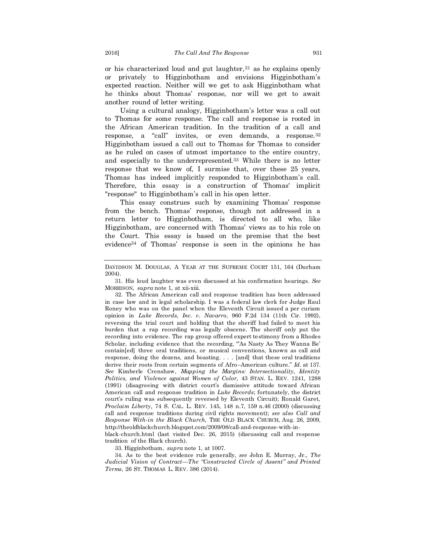or his characterized loud and gut laughter, 31 as he explains openly or privately to Higginbotham and envisions Higginbotham's expected reaction. Neither will we get to ask Higginbotham what he thinks about Thomas' response, nor will we get to await another round of letter writing.

Using a cultural analogy, Higginbotham's letter was a call out to Thomas for some response. The call and response is rooted in the African American tradition. In the tradition of a call and response, a "call" invites, or even demands, a response.<sup>32</sup> Higginbotham issued a call out to Thomas for Thomas to consider as he ruled on cases of utmost importance to the entire country, and especially to the underrepresented.<sup>33</sup> While there is no letter response that we know of, I surmise that, over these 25 years, Thomas has indeed implicitly responded to Higginbotham's call. Therefore, this essay is a construction of Thomas' implicit "response" to Higginbotham's call in his open letter.

This essay construes such by examining Thomas' response from the bench. Thomas' response, though not addressed in a return letter to Higginbotham, is directed to all who, like Higginbotham, are concerned with Thomas' views as to his role on the Court. This essay is based on the premise that the best evidence<sup>34</sup> of Thomas' response is seen in the opinions he has

32. The African American call and response tradition has been addressed in case law and in legal scholarship. I was a federal law clerk for Judge Raul Roney who was on the panel when the Eleventh Circuit issued a per curiam opinion in *Luke Records, Inc. v. Navarro,* 960 F.2d 134 (11th Cir. 1992), reversing the trial court and holding that the sheriff had failed to meet his burden that a rap recording was legally obscene. The sheriff only put the recording into evidence. The rap group offered expert testimony from a Rhodes Scholar, including evidence that the recording, "As Nasty As They Wanna Be' contain[ed] three oral traditions, or musical conventions, known as call and response, doing the dozens, and boasting. . . . [and] that these oral traditions derive their roots from certain segments of Afro–American culture." *Id.* at 137. *See* Kimberle Crenshaw, *Mapping the Margins: Intersectionality, Identity Politics, and Violence against Women of Color,* 43 STAN. L. REV. 1241, 1288 (1991) (disagreeing with district court's dismissive attitude toward African American call and response tradition in *Luke Records*; fortunately, the district court's ruling was subsequently reversed by Eleventh Circuit); Ronald Garet, *Proclaim Liberty,* 74 S. CAL. L. REV. 145, 148 n.7, 159 n.46 (2000) (discussing call and response traditions during civil rights movement); *see also Call and Response With-in the Black Church,* THE OLD BLACK CHURCH, Aug. 26, 2009, http://theoldblackchurch.blogspot.com/2009/08/call-and-response-with-inblack-church.html (last visited Dec. 26, 2015) (discussing call and response

tradition of the Black church). 33. Higginbotham, *supra* note 1, at 1007.

34. As to the best evidence rule generally, *see* John E. Murray, Jr., *The Judicial Vision of Contract—The "Constructed Circle of Assent" and Printed Terms*, 26 ST. THOMAS L. REV. 386 (2014).

DAVIDSON M. DOUGLAS, A YEAR AT THE SUPREME COURT 151, 164 (Durham 2004).

<sup>31.</sup> His loud laughter was even discussed at his confirmation hearings. *See*  MORRISON, *supra* note 1, at xii-xiii.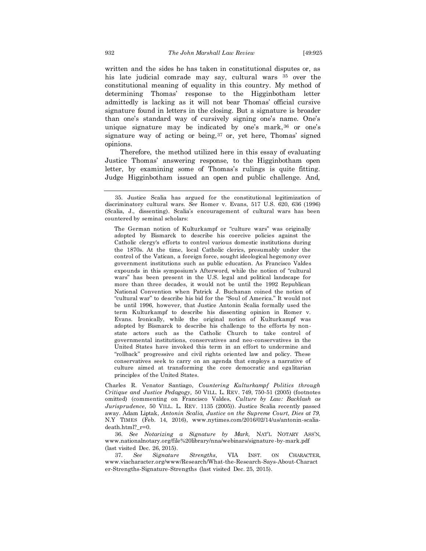written and the sides he has taken in constitutional disputes or, as his late judicial comrade may say, cultural wars <sup>35</sup> over the constitutional meaning of equality in this country. My method of determining Thomas' response to the Higginbotham letter admittedly is lacking as it will not bear Thomas' official cursive signature found in letters in the closing. But a signature is broader than one's standard way of cursively signing one's name. One's unique signature may be indicated by one's mark,  $36$  or one's signature way of acting or being,  $37$  or, yet here, Thomas' signed opinions.

Therefore, the method utilized here in this essay of evaluating Justice Thomas' answering response, to the Higginbotham open letter, by examining some of Thomas's rulings is quite fitting. Judge Higginbotham issued an open and public challenge. And,

The German notion of Kulturkampf or "culture wars" was originally adopted by Bismarck to describe his coercive policies against the Catholic clergy's efforts to control various domestic institutions during the 1870s. At the time, local Catholic clerics, presumably under the control of the Vatican, a foreign force, sought ideological hegemony over government institutions such as public education. As Francisco Valdes expounds in this symposium's Afterword, while the notion of "cultural wars" has been present in the U.S. legal and political landscape for more than three decades, it would not be until the 1992 Republican National Convention when Patrick J. Buchanan coined the notion of "cultural war" to describe his bid for the "Soul of America." It would not be until 1996, however, that Justice Antonin Scalia formally used the term Kulturkampf to describe his dissenting opinion in Romer v. Evans. Ironically, while the original notion of Kulturkampf was adopted by Bismarck to describe his challenge to the efforts by nonstate actors such as the Catholic Church to take control of governmental institutions, conservatives and neo-conservatives in the United States have invoked this term in an effort to undermine and "rollback" progressive and civil rights oriented law and policy. These conservatives seek to carry on an agenda that employs a narrative of culture aimed at transforming the core democratic and egalitarian principles of the United States.

Charles R. Venator Santiago, *Countering Kulturkampf Politics through Critique and Justice Pedagogy,* 50 VILL. L. REV. 749, 750-51 (2005) (footnotes omitted) (commenting on Francisco Valdes, *Culture by Law: Backlash as Jurisprudence*, 50 VILL. L. REV. 1135 (2005)). Justice Scalia recently passed away. Adam Liptak, *Antonin Scalia, Justice on the Supreme Court, Dies at 79,*  N.Y TIMES (Feb. 14, 2016), www.nytimes.com/2016/02/14/us/antonin-scaliadeath.html?\_r=0.

36. *See Notarizing a Signature by Mark,* NAT'L NOTARY ASS'N, www.nationalnotary.org/file%20library/nna/webinars/signature-by-mark.pdf (last visited Dec. 26, 2015).

37. *See Signature Strengths,* VIA INST. ON CHARACTER, www.viacharacter.org/www/Research/What-the-Research-Says-About-Charact er-Strengths-Signature-Strengths (last visited Dec. 25, 2015).

<sup>35.</sup> Justice Scalia has argued for the constitutional legitimization of discriminatory cultural wars. *See* Romer v. Evans, 517 U.S. 620, 636 (1996) (Scalia, J., dissenting). Scalia's encouragement of cultural wars has been countered by seminal scholars: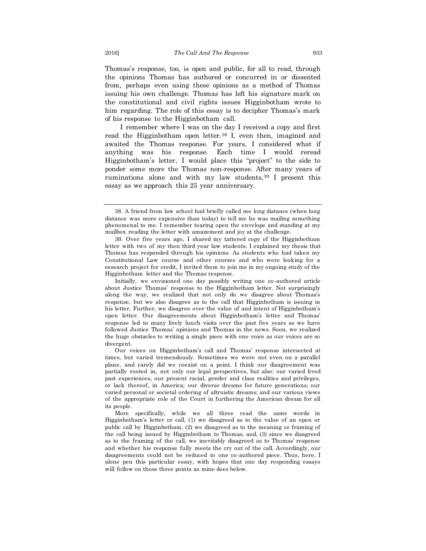Thomas's response, too, is open and public, for all to read, through the opinions Thomas has authored or concurred in or dissented from, perhaps even using these opinions as a method of Thomas issuing his own challenge. Thomas has left his signature mark on the constitutional and civil rights issues Higginbotham wrote to him regarding. The role of this essay is to decipher Thomas's mark of his response to the Higginbotham call.

I remember where I was on the day I received a copy and first read the Higginbotham open letter.<sup>38</sup> I, even then, imagined and awaited the Thomas response. For years, I considered what if anything was his response. Each time I would reread Higginbotham's letter, I would place this "project" to the side to ponder some more the Thomas non-response. After many years of ruminations alone and with my law students, <sup>39</sup> I present this essay as we approach this 25 year anniversary.

<sup>38.</sup> A friend from law school had briefly called me long distance (when long distance was more expensive than today) to tell me he was mailing something phenomenal to me. I remember tearing open the envelope and standing at my mailbox reading the letter with amazement and joy at the challenge.

<sup>39.</sup> Over five years ago, I shared my tattered copy of the Higginbotham letter with two of my then third year law students. I explained my thesis that Thomas has responded through his opinions. As students who had taken my Constitutional Law course and other courses and who were looking for a research project for credit, I invited them to join me in my ongoing study of the Higginbotham letter and the Thomas response.

Initially, we envisioned one day possibly writing one co-authored article about Justice Thomas' response to the Higginbotham letter. Not surprisingly along the way, we realized that not only do we disagree about Thomas's response, but we also disagree as to the call that Higginbotham is issuing in his letter. Further, we disagree over the value of and intent of Higginbotham's open letter. Our disagreements about Higginbotham's letter and Thomas' response led to many lively lunch visits over the past five years as we have followed Justice Thomas' opinions and Thomas in the news. Soon, we realized the huge obstacles to writing a single piece with one voice as our voices are so divergent.

Our voices on Higginbotham's call and Thomas' response intersected at times, but varied tremendously. Sometimes we were not even on a parallel plane, and rarely did we coexist on a point. I think our disagreement was partially rooted in, not only our legal perspectives, but also: our varied lived past experiences, our present racial, gender and class realities and privileges, or lack thereof, in America; our diverse dreams for future generations; our varied personal or societal ordering of altruistic dreams; and our various views of the appropriate role of the Court in furthering the American dream for all its people.

More specifically, while we all three read the same words in Higginbotham's letter or call, (1) we disagreed as to the value of an open or public call by Higginbotham, (2) we disagreed as to the meaning or framing of the call being issued by Higginbotham to Thomas, and, (3) since we disagreed as to the framing of the call, we inevitably disagreed as to Thomas' response and whether his response fully meets the cry out of the call. Accordingly, our disagreements could not be reduced to one co-authored piece. Thus, here, I alone pen this particular essay, with hopes that one day responding essays will follow on those three points as mine does below.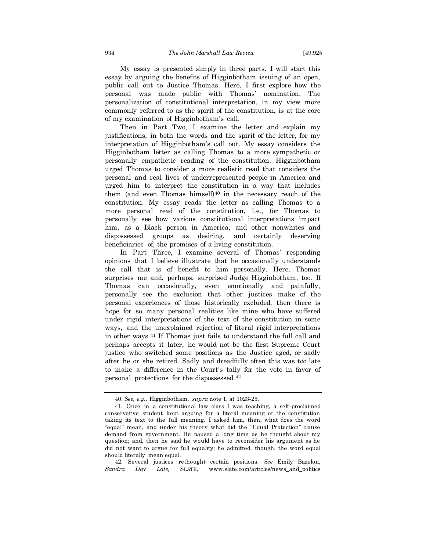My essay is presented simply in three parts. I will start this essay by arguing the benefits of Higginbotham issuing of an open, public call out to Justice Thomas. Here, I first explore how the personal was made public with Thomas' nomination. The personalization of constitutional interpretation, in my view more commonly referred to as the spirit of the constitution, is at the core of my examination of Higginbotham's call.

Then in Part Two, I examine the letter and explain my justifications, in both the words and the spirit of the letter, for my interpretation of Higginbotham's call out. My essay considers the Higginbotham letter as calling Thomas to a more sympathetic or personally empathetic reading of the constitution. Higginbotham urged Thomas to consider a more realistic read that considers the personal and real lives of underrepresented people in America and urged him to interpret the constitution in a way that includes them (and even Thomas himself) $40$  in the necessary reach of the constitution. My essay reads the letter as calling Thomas to a more personal read of the constitution, i.e., for Thomas to personally see how various constitutional interpretations impact him, as a Black person in America, and other nonwhites and dispossessed groups as desiring, and certainly deserving beneficiaries of, the promises of a living constitution.

In Part Three, I examine several of Thomas' responding opinions that I believe illustrate that he occasionally understands the call that is of benefit to him personally. Here, Thomas surprises me and, perhaps, surprised Judge Higginbotham, too. If Thomas can occasionally, even emotionally and painfully, personally see the exclusion that other justices make of the personal experiences of those historically excluded, then there is hope for so many personal realities like mine who have suffered under rigid interpretations of the text of the constitution in some ways, and the unexplained rejection of literal rigid interpretations in other ways.<sup>41</sup> If Thomas just fails to understand the full call and perhaps accepts it later, he would not be the first Supreme Court justice who switched some positions as the Justice aged, or sadly after he or she retired. Sadly and dreadfully often this was too late to make a difference in the Court's tally for the vote in favor of personal protections for the dispossessed.<sup>42</sup>

42. Several justices rethought certain positions. *See* Emily Bazelon, *Sandra Day Late,* SLATE, www.slate.com/articles/news\_and\_politics

<sup>40.</sup> *See, e.g.,* Higginbotham, *supra* note 1, at 1023-25.

<sup>41.</sup> Once in a constitutional law class I was teaching, a self-proclaimed conservative student kept arguing for a literal meaning of the constitution taking its text to the full meaning. I asked him, then, what does the word "equal" mean, and under his theory what did the "Equal Protection" clause demand from government. He paused a long time as he thought about my question; and, then he said he would have to reconsider his argument as he did not want to argue for full equality; he admitted, though, the word equal should literally mean equal.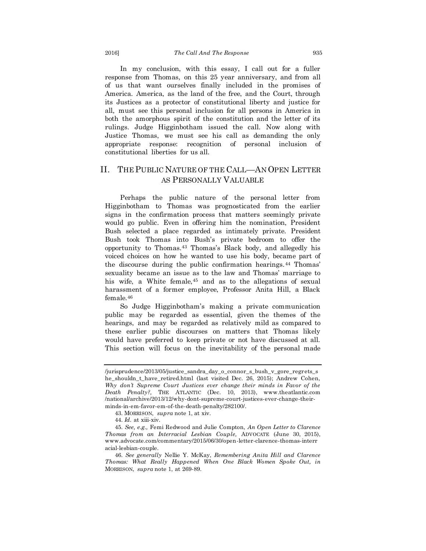In my conclusion, with this essay, I call out for a fuller response from Thomas, on this 25 year anniversary, and from all of us that want ourselves finally included in the promises of America. America, as the land of the free, and the Court, through its Justices as a protector of constitutional liberty and justice for all, must see this personal inclusion for all persons in America in both the amorphous spirit of the constitution and the letter of its rulings. Judge Higginbotham issued the call. Now along with Justice Thomas, we must see his call as demanding the only appropriate response: recognition of personal inclusion of constitutional liberties for us all.

## II. THE PUBLIC NATURE OF THE CALL—AN OPEN LETTER AS PERSONALLY VALUABLE

Perhaps the public nature of the personal letter from Higginbotham to Thomas was prognosticated from the earlier signs in the confirmation process that matters seemingly private would go public. Even in offering him the nomination, President Bush selected a place regarded as intimately private. President Bush took Thomas into Bush's private bedroom to offer the opportunity to Thomas.<sup>43</sup> Thomas's Black body, and allegedly his voiced choices on how he wanted to use his body, became part of the discourse during the public confirmation hearings.<sup>44</sup> Thomas' sexuality became an issue as to the law and Thomas' marriage to his wife, a White female, <sup>45</sup> and as to the allegations of sexual harassment of a former employee, Professor Anita Hill, a Black female.<sup>46</sup>

So Judge Higginbotham's making a private communication public may be regarded as essential, given the themes of the hearings, and may be regarded as relatively mild as compared to these earlier public discourses on matters that Thomas likely would have preferred to keep private or not have discussed at all. This section will focus on the inevitability of the personal made

<sup>/</sup>jurisprudence/2013/05/justice\_sandra\_day\_o\_connor\_s\_bush\_v\_gore\_regrets\_s he\_shouldn\_t\_have\_retired.html (last visited Dec. 26, 2015); Andrew Cohen, *Why don't Supreme Court Justices ever change their minds in Favor of the Death Penalty?,* THE ATLANTIC (Dec. 10, 2013), www.theatlantic.com /national/archive/2013/12/why-dont-supreme-court-justices-ever-change-theirminds-in-em-favor-em-of-the-death-penalty/282100/.

<sup>43.</sup> MORRISON, *supra* note 1, at xiv.

<sup>44.</sup> *Id.* at xiii-xiv.

<sup>45.</sup> *See, e.g.,* Femi Redwood and Julie Compton, *An Open Letter to Clarence Thomas from an Interracial Lesbian Couple,* ADVOCATE (June 30, 2015), www.advocate.com/commentary/2015/06/30/open-letter-clarence-thomas-interr acial-lesbian-couple.

<sup>46.</sup> *See generally* Nellie Y. McKay, *Remembering Anita Hill and Clarence Thomas: What Really Happened When One Black Women Spoke Out, in* MORRISON, *supra* note 1, at 269-89.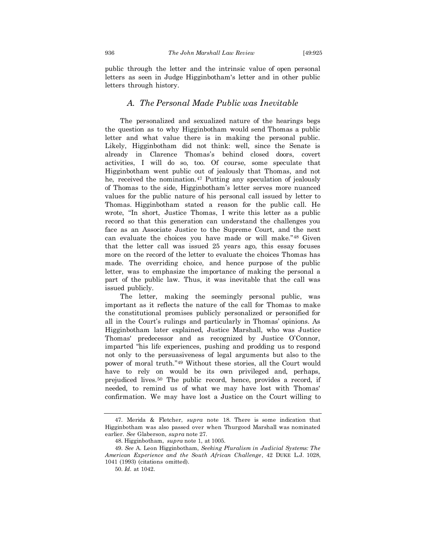public through the letter and the intrinsic value of open personal letters as seen in Judge Higginbotham's letter and in other public letters through history.

#### *A. The Personal Made Public was Inevitable*

The personalized and sexualized nature of the hearings begs the question as to why Higginbotham would send Thomas a public letter and what value there is in making the personal public. Likely, Higginbotham did not think: well, since the Senate is already in Clarence Thomas's behind closed doors, covert activities, I will do so, too. Of course, some speculate that Higginbotham went public out of jealously that Thomas, and not he, received the nomination.<sup>47</sup> Putting any speculation of jealously of Thomas to the side, Higginbotham's letter serves more nuanced values for the public nature of his personal call issued by letter to Thomas. Higginbotham stated a reason for the public call. He wrote, "In short, Justice Thomas, I write this letter as a public record so that this generation can understand the challenges you face as an Associate Justice to the Supreme Court, and the next can evaluate the choices you have made or will make."<sup>48</sup> Given that the letter call was issued 25 years ago, this essay focuses more on the record of the letter to evaluate the choices Thomas has made. The overriding choice, and hence purpose of the public letter, was to emphasize the importance of making the personal a part of the public law. Thus, it was inevitable that the call was issued publicly.

The letter, making the seemingly personal public, was important as it reflects the nature of the call for Thomas to make the constitutional promises publicly personalized or personified for all in the Court's rulings and particularly in Thomas' opinions. As Higginbotham later explained, Justice Marshall, who was Justice Thomas' predecessor and as recognized by Justice O'Connor, imparted "his life experiences, pushing and prodding us to respond not only to the persuasiveness of legal arguments but also to the power of moral truth."<sup>49</sup> Without these stories, all the Court would have to rely on would be its own privileged and, perhaps, prejudiced lives.<sup>50</sup> The public record, hence, provides a record, if needed, to remind us of what we may have lost with Thomas' confirmation. We may have lost a Justice on the Court willing to

<sup>47.</sup> Merida & Fletcher, *supra* note 18. There is some indication that Higginbotham was also passed over when Thurgood Marshall was nominated earlier. *See* Glaberson, *supra* note 27.

<sup>48.</sup> Higginbotham, *supra* note 1, at 1005.

<sup>49.</sup> *See* A. Leon Higginbotham, *Seeking Pluralism in Judicial Systems: The American Experience and the South African Challenge*, 42 DUKE L.J. 1028, 1041 (1993) (citations omitted).

<sup>50.</sup> *Id.* at 1042.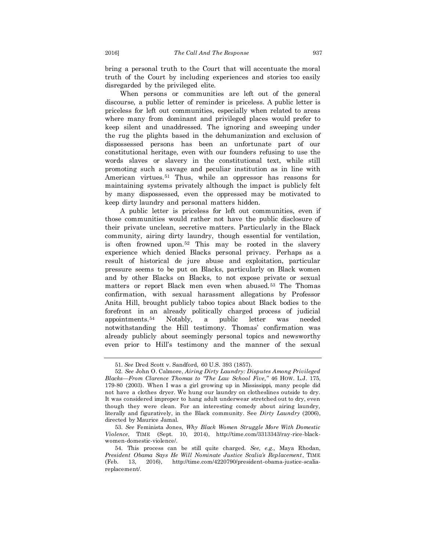bring a personal truth to the Court that will accentuate the moral truth of the Court by including experiences and stories too easily disregarded by the privileged elite.

When persons or communities are left out of the general discourse, a public letter of reminder is priceless. A public letter is priceless for left out communities, especially when related to areas where many from dominant and privileged places would prefer to keep silent and unaddressed. The ignoring and sweeping under the rug the plights based in the dehumanization and exclusion of dispossessed persons has been an unfortunate part of our constitutional heritage, even with our founders refusing to use the words slaves or slavery in the constitutional text, while still promoting such a savage and peculiar institution as in line with American virtues.<sup>51</sup> Thus, while an oppressor has reasons for maintaining systems privately although the impact is publicly felt by many dispossessed, even the oppressed may be motivated to keep dirty laundry and personal matters hidden.

A public letter is priceless for left out communities, even if those communities would rather not have the public disclosure of their private unclean, secretive matters. Particularly in the Black community, airing dirty laundry, though essential for ventilation, is often frowned upon.<sup>52</sup> This may be rooted in the slavery experience which denied Blacks personal privacy. Perhaps as a result of historical de jure abuse and exploitation, particular pressure seems to be put on Blacks, particularly on Black women and by other Blacks on Blacks, to not expose private or sexual matters or report Black men even when abused.<sup>53</sup> The Thomas confirmation, with sexual harassment allegations by Professor Anita Hill, brought publicly taboo topics about Black bodies to the forefront in an already politically charged process of judicial appointments.<sup>54</sup> Notably, a public letter was needed notwithstanding the Hill testimony. Thomas' confirmation was already publicly about seemingly personal topics and newsworthy even prior to Hill's testimony and the manner of the sexual

<sup>51.</sup> *See* Dred Scott v. Sandford, 60 U.S. 393 (1857).

<sup>52.</sup> *See* John O. Calmore, *Airing Dirty Laundry: Disputes Among Privileged Blacks—From Clarence Thomas to "The Law School Five,"* 46 HOW. L.J. 175, 179-80 (2003). When I was a girl growing up in Mississippi, many people did not have a clothes dryer. We hung our laundry on clotheslines outside to dry. It was considered improper to hang adult underwear stretched out to dry, even though they were clean. For an interesting comedy about airing laundry, literally and figuratively, in the Black community. See *Dirty Laundry* (2006), directed by Maurice Jamal.

<sup>53.</sup> *See* Feminista Jones, *Why Black Women Struggle More With Domestic Violence*, TIME (Sept. 10, 2014), http://time.com/3313343/ray-rice-blackwomen-domestic-violence/.

<sup>54.</sup> This process can be still quite charged. *See, e.g.,* Maya Rhodan, *President Obama Says He Will Nominate Justice Scalia's Replacement*, TIME (Feb. 13, 2016), http://time.com/4220790/president-obama-justice-scaliareplacement/.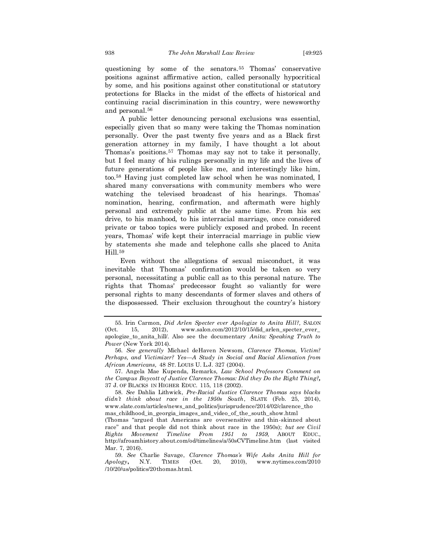questioning by some of the senators.<sup>55</sup> Thomas' conservative positions against affirmative action, called personally hypocritical by some, and his positions against other constitutional or statutory protections for Blacks in the midst of the effects of historical and continuing racial discrimination in this country, were newsworthy and personal.<sup>56</sup>

A public letter denouncing personal exclusions was essential, especially given that so many were taking the Thomas nomination personally. Over the past twenty five years and as a Black first generation attorney in my family, I have thought a lot about Thomas's positions.<sup>57</sup> Thomas may say not to take it personally, but I feel many of his rulings personally in my life and the lives of future generations of people like me, and interestingly like him, too.<sup>58</sup> Having just completed law school when he was nominated, I shared many conversations with community members who were watching the televised broadcast of his hearings. Thomas' nomination, hearing, confirmation, and aftermath were highly personal and extremely public at the same time. From his sex drive, to his manhood, to his interracial marriage, once considered private or taboo topics were publicly exposed and probed. In recent years, Thomas' wife kept their interracial marriage in public view by statements she made and telephone calls she placed to Anita Hill.<sup>59</sup>

Even without the allegations of sexual misconduct, it was inevitable that Thomas' confirmation would be taken so very personal, necessitating a public call as to this personal nature. The rights that Thomas' predecessor fought so valiantly for were personal rights to many descendants of former slaves and others of the dispossessed. Their exclusion throughout the country's history

57. Angela Mae Kupenda, Remarks, *Law School Professors Comment on the Campus Boycott of Justice Clarence Thomas: Did they Do the Right Thing?,*  37 J. OF BLACKS IN HIGHER EDUC. 115, 118 (2002).

<sup>55.</sup> Irin Carmon, *Did Arlen Specter ever Apologize to Anita Hill?,* SALON (Oct. 15, 2012), www.salon.com/2012/10/15/did\_arlen\_specter\_ever\_ apologize\_to\_anita\_hill/. Also see the documentary *Anita: Speaking Truth to Power* (New York 2014).

<sup>56.</sup> *See generally* Michael deHaven Newsom, *Clarence Thomas, Victim? Perhaps, and Victimizer? Yes—A Study in Social and Racial Alienation from African Americans,* 48 ST. LOUIS U. L.J. 327 (2004).

<sup>58.</sup> *See* Dahlia Lithwick, *Pre-Racial Justice Clarence Thomas says blacks didn't think about race in the 1950s South*, SLATE (Feb. 25, 2014), www.slate.com/articles/news\_and\_politics/jurisprudence/2014/02/clarence\_tho mas\_childhood\_in\_georgia\_images\_and\_video\_of\_the\_south\_show.html

<sup>(</sup>Thomas "argued that Americans are oversensitive and thin-skinned about race" and that people did not think about race in the 1950s); *but see Civil Rights Movement Timeline From 1951 to 1959,* ABOUT EDUC., http://afroamhistory.about.com/od/timelines/a/50sCVTimeline.htm (last visited Mar. 7, 2016).

<sup>59.</sup> *See* Charlie Savage, *Clarence Thomas's Wife Asks Anita Hill for Apology***,** N.Y. TIMES (Oct. 20, 2010), www.nytimes.com/2010 /10/20/us/politics/20thomas.html.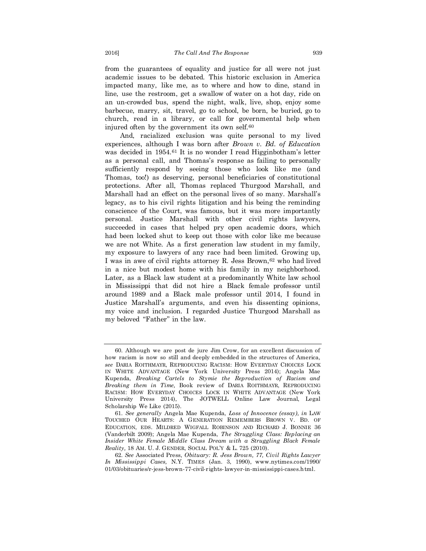from the guarantees of equality and justice for all were not just academic issues to be debated. This historic exclusion in America impacted many, like me, as to where and how to dine, stand in line, use the restroom, get a swallow of water on a hot day, ride on an un-crowded bus, spend the night, walk, live, shop, enjoy some barbecue, marry, sit, travel, go to school, be born, be buried, go to church, read in a library, or call for governmental help when injured often by the government its own self.<sup>60</sup>

And, racialized exclusion was quite personal to my lived experiences, although I was born after *Brown v. Bd. of Education* was decided in 1954.<sup>61</sup> It is no wonder I read Higginbotham's letter as a personal call, and Thomas's response as failing to personally sufficiently respond by seeing those who look like me (and Thomas, too!) as deserving, personal beneficiaries of constitutional protections. After all, Thomas replaced Thurgood Marshall, and Marshall had an effect on the personal lives of so many. Marshall's legacy, as to his civil rights litigation and his being the reminding conscience of the Court, was famous, but it was more importantly personal. Justice Marshall with other civil rights lawyers, succeeded in cases that helped pry open academic doors, which had been locked shut to keep out those with color like me because we are not White. As a first generation law student in my family, my exposure to lawyers of any race had been limited. Growing up, I was in awe of civil rights attorney R. Jess Brown, 62 who had lived in a nice but modest home with his family in my neighborhood. Later, as a Black law student at a predominantly White law school in Mississippi that did not hire a Black female professor until around 1989 and a Black male professor until 2014, I found in Justice Marshall's arguments, and even his dissenting opinions, my voice and inclusion. I regarded Justice Thurgood Marshall as my beloved "Father" in the law.

<sup>60.</sup> Although we are post de jure Jim Crow, for an excellent discussion of how racism is now so still and deeply embedded in the structures of America, *see* DARIA ROITHMAYR, REPRODUCING RACISM: HOW EVERYDAY CHOICES LOCK IN WHITE ADVANTAGE (New York University Press 2014); Angela Mae Kupenda, *Breaking Cartels to Stymie the Reproduction of Racism and Breaking them in Time,* Book review of DARIA ROITHMAYR, REPRODUCING RACISM: HOW EVERYDAY CHOICES LOCK IN WHITE ADVANTAGE (New York University Press 2014), The JOTWELL Online Law Journal, Legal Scholarship We Like (2015).

<sup>61.</sup> *See generally* Angela Mae Kupenda, *Loss of Innocence (essay), in* LAW TOUCHED OUR HEARTS: A GENERATION REMEMBERS BROWN V. BD. OF EDUCATION, EDS. MILDRED WIGFALL ROBINSON AND RICHARD J. BONNIE 36 (Vanderbilt 2009); Angela Mae Kupenda, *The Struggling Class: Replacing an Insider White Female Middle Class Dream with a Struggling Black Female Reality,* 18 AM. U. J. GENDER, SOCIAL POL'Y & L. 725 (2010).

<sup>62.</sup> *See* Associated Press, *Obituary: R. Jess Brown, 77, Civil Rights Lawyer In Mississippi Cases,* N.Y. TIMES (Jan. 3, 1990), www.nytimes.com/1990/ 01/03/obituaries/r-jess-brown-77-civil-rights-lawyer-in-mississippi-cases.html.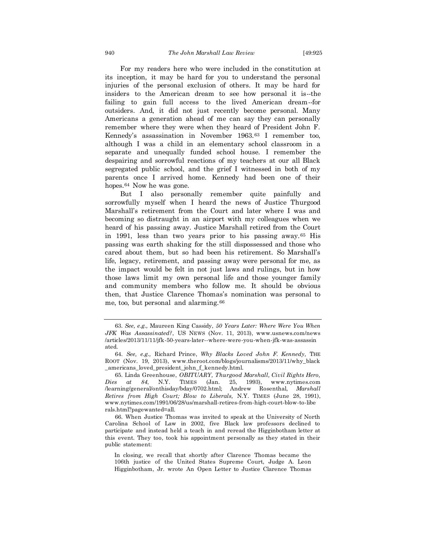For my readers here who were included in the constitution at its inception, it may be hard for you to understand the personal injuries of the personal exclusion of others. It may be hard for insiders to the American dream to see how personal it is--the failing to gain full access to the lived American dream--for outsiders. And, it did not just recently become personal. Many Americans a generation ahead of me can say they can personally remember where they were when they heard of President John F. Kennedy's assassination in November 1963.<sup>63</sup> I remember too, although I was a child in an elementary school classroom in a separate and unequally funded school house. I remember the despairing and sorrowful reactions of my teachers at our all Black segregated public school, and the grief I witnessed in both of my parents once I arrived home. Kennedy had been one of their hopes.<sup>64</sup> Now he was gone.

But I also personally remember quite painfully and sorrowfully myself when I heard the news of Justice Thurgood Marshall's retirement from the Court and later where I was and becoming so distraught in an airport with my colleagues when we heard of his passing away. Justice Marshall retired from the Court in 1991, less than two years prior to his passing away.<sup>65</sup> His passing was earth shaking for the still dispossessed and those who cared about them, but so had been his retirement. So Marshall's life, legacy, retirement, and passing away were personal for me, as the impact would be felt in not just laws and rulings, but in how those laws limit my own personal life and those younger family and community members who follow me. It should be obvious then, that Justice Clarence Thomas's nomination was personal to me, too, but personal and alarming.<sup>66</sup>

<sup>63.</sup> *See, e.g.,* Maureen King Cassidy, *50 Years Later: Where Were You When JFK Was Assassinated?*, US NEWS (Nov. 11, 2013), www.usnews.com/news /articles/2013/11/11/jfk-50-years-later--where-were-you-when-jfk-was-assassin ated.

<sup>64.</sup> *See, e.g.,* Richard Prince, *Why Blacks Loved John F. Kennedy,* THE ROOT (Nov. 19, 2013), www.theroot.com/blogs/journalisms/2013/11/why\_black \_americans\_loved\_president\_john\_f\_kennedy.html.

<sup>65.</sup> Linda Greenhouse, *OBITUARY, Thurgood Marshall, Civil Rights Hero, Dies at 84*, N.Y. TIMES (Jan. 25, 1993), www.nytimes.com /learning/general/onthisday/bday/0702.html; Andrew Rosenthal, *Marshall Retires from High Court; Blow to Liberals,* N.Y. TIMES (June 28, 1991), www.nytimes.com/1991/06/28/us/marshall-retires-from-high-court-blow-to-libe rals.html?pagewanted=all.

<sup>66.</sup> When Justice Thomas was invited to speak at the University of North Carolina School of Law in 2002, five Black law professors declined to participate and instead held a teach in and reread the Higginbotham letter at this event. They too, took his appointment personally as they stated in their public statement:

In closing, we recall that shortly after Clarence Thomas became the 106th justice of the United States Supreme Court, Judge A. Leon Higginbotham, Jr. wrote An Open Letter to Justice Clarence Thomas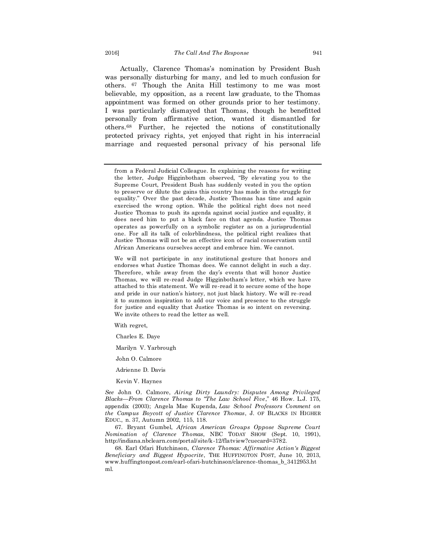Actually, Clarence Thomas's nomination by President Bush was personally disturbing for many, and led to much confusion for others. <sup>67</sup> Though the Anita Hill testimony to me was most believable, my opposition, as a recent law graduate, to the Thomas appointment was formed on other grounds prior to her testimony. I was particularly dismayed that Thomas, though he benefitted personally from affirmative action, wanted it dismantled for others.<sup>68</sup> Further, he rejected the notions of constitutionally protected privacy rights, yet enjoyed that right in his interracial marriage and requested personal privacy of his personal life

We will not participate in any institutional gesture that honors and endorses what Justice Thomas does. We cannot delight in such a day. Therefore, while away from the day's events that will honor Justice Thomas, we will re-read Judge Higginbotham's letter, which we have attached to this statement. We will re-read it to secure some of the hope and pride in our nation's history, not just black history. We will re-read it to summon inspiration to add our voice and presence to the struggle for justice and equality that Justice Thomas is so intent on reversing. We invite others to read the letter as well.

With regret,

Charles E. Daye

Marilyn V. Yarbrough

John O. Calmore

Adrienne D. Davis

Kevin V. Haynes

*See* John O. Calmore, *Airing Dirty Laundry: Disputes Among Privileged Blacks—From Clarence Thomas to "The Law School Five*," 46 How. L.J. 175, appendix (2003); Angela Mae Kupenda, *Law School Professors Comment on the Campus Boycott of Justice Clarence Thomas*, J. OF BLACKS IN HIGHER EDUC., n. 37, Autumn 2002, 115, 118.

67. Bryant Gumbel, *African American Groups Oppose Supreme Court Nomination of Clarence Thomas*, NBC TODAY SHOW (Sept. 10, 1991), http://indiana.nbclearn.com/portal/site/k-12/flatview?cuecard=3782.

68. Earl Ofari Hutchinson, *Clarence Thomas: Affirmative Action's Biggest Beneficiary and Biggest Hypocrite*, THE HUFFINGTON POST, June 10, 2013, www.huffingtonpost.com/earl-ofari-hutchinson/clarence-thomas\_b\_3412953.ht ml.

from a Federal Judicial Colleague. In explaining the reasons for writing the letter, Judge Higginbotham observed, "By elevating you to the Supreme Court, President Bush has suddenly vested in you the option to preserve or dilute the gains this country has made in the struggle for equality." Over the past decade, Justice Thomas has time and again exercised the wrong option. While the political right does not need Justice Thomas to push its agenda against social justice and equality, it does need him to put a black face on that agenda. Justice Thomas operates as powerfully on a symbolic register as on a jurisprudential one. For all its talk of colorblindness, the political right realizes that Justice Thomas will not be an effective icon of racial conservatism until African Americans ourselves accept and embrace him. We cannot.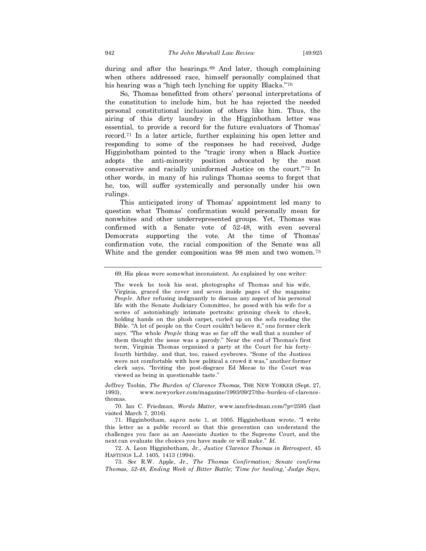during and after the hearings.<sup>69</sup> And later, though complaining when others addressed race, himself personally complained that his hearing was a "high tech lynching for uppity Blacks."<sup>70</sup>

So, Thomas benefitted from others' personal interpretations of the constitution to include him, but he has rejected the needed personal constitutional inclusion of others like him. Thus, the airing of this dirty laundry in the Higginbotham letter was essential, to provide a record for the future evaluators of Thomas' record.<sup>71</sup> In a later article, further explaining his open letter and responding to some of the responses he had received, Judge Higginbotham pointed to the "tragic irony when a Black Justice adopts the anti-minority position advocated by the most conservative and racially uninformed Justice on the court."<sup>72</sup> In other words, in many of his rulings Thomas seems to forget that he, too, will suffer systemically and personally under his own rulings.

This anticipated irony of Thomas' appointment led many to question what Thomas' confirmation would personally mean for nonwhites and other underrepresented groups. Yet, Thomas was confirmed with a Senate vote of 52-48, with even several Democrats supporting the vote. At the time of Thomas' confirmation vote, the racial composition of the Senate was all White and the gender composition was 98 men and two women.<sup>73</sup>

<sup>69.</sup> His pleas were somewhat inconsistent. As explained by one writer:

The week he took his seat, photographs of Thomas and his wife, Virginia, graced the cover and seven inside pages of the magazine *People*. After refusing indignantly to discuss any aspect of his personal life with the Senate Judiciary Committee, he posed with his wife for a series of astonishingly intimate portraits: grinning cheek to cheek, holding hands on the plush carpet, curled up on the sofa reading the Bible. "A lot of people on the Court couldn't believe it," one former clerk says. "The whole *People* thing was so far off the wall that a number of them thought the issue was a parody." Near the end of Thomas's first term, Virginia Thomas organized a party at the Court for his fortyfourth birthday, and that, too, raised eyebrows. "Some of the Justices were not comfortable with how political a crowd it was," another former clerk says, "Inviting the post-disgrace Ed Meese to the Court was viewed as being in questionable taste."

Jeffrey Toobin, *The Burden of Clarence Thomas,* THE NEW YORKER (Sept. 27, 1993), www.newyorker.com/magazine/1993/09/27/the-burden-of-clarencethomas.

<sup>70.</sup> Ian C. Friedman, *Words Matter,* www.iancfriedman.com/?p=2595 (last visited March 7, 2016).

<sup>71.</sup> Higginbotham, *supra* note 1, at 1005. Higginbotham wrote, "I write this letter as a public record so that this generation can understand the challenges you face as an Associate Justice to the Supreme Court, and the next can evaluate the choices you have made or will make." *Id.*

<sup>72.</sup> A. Leon Higginbotham, Jr., *Justice Clarence Thomas in Retrospect*, 45 HASTINGS L.J. 1405, 1413 (1994).

<sup>73.</sup> *See* R.W. Apple, Jr., *The Thomas Confirmation; Senate confirms Thomas, 52-48*, *Ending Week of Bitter Battle; 'Time for healing,' Judge Says,*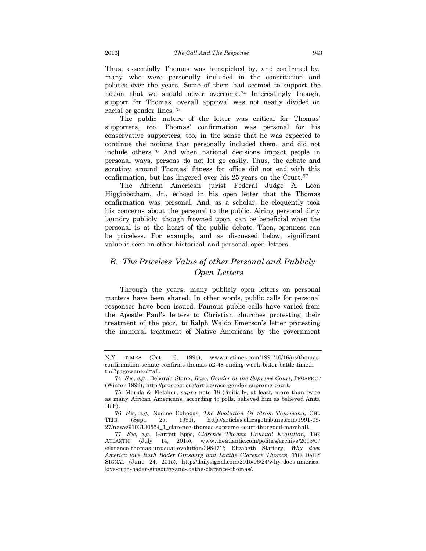Thus, essentially Thomas was handpicked by, and confirmed by, many who were personally included in the constitution and policies over the years. Some of them had seemed to support the notion that we should never overcome.<sup>74</sup> Interestingly though, support for Thomas' overall approval was not neatly divided on racial or gender lines.<sup>75</sup>

The public nature of the letter was critical for Thomas' supporters, too. Thomas' confirmation was personal for his conservative supporters, too, in the sense that he was expected to continue the notions that personally included them, and did not include others.<sup>76</sup> And when national decisions impact people in personal ways, persons do not let go easily. Thus, the debate and scrutiny around Thomas' fitness for office did not end with this confirmation, but has lingered over his 25 years on the Court.<sup>77</sup>

The African American jurist Federal Judge A. Leon Higginbotham, Jr., echoed in his open letter that the Thomas confirmation was personal. And, as a scholar, he eloquently took his concerns about the personal to the public. Airing personal dirty laundry publicly, though frowned upon, can be beneficial when the personal is at the heart of the public debate. Then, openness can be priceless. For example, and as discussed below, significant value is seen in other historical and personal open letters.

# *B. The Priceless Value of other Personal and Publicly Open Letters*

Through the years, many publicly open letters on personal matters have been shared. In other words, public calls for personal responses have been issued. Famous public calls have varied from the Apostle Paul's letters to Christian churches protesting their treatment of the poor, to Ralph Waldo Emerson's letter protesting the immoral treatment of Native Americans by the government

N.Y. TIMES (Oct. 16, 1991), www.nytimes.com/1991/10/16/us/thomasconfirmation-senate-confirms-thomas-52-48-ending-week-bitter-battle-time.h tml?pagewanted=all.

<sup>74.</sup> *See, e.g.,* Deborah Stone, *Race, Gender at the Supreme Court,* PROSPECT (Winter 1992), http://prospect.org/article/race-gender-supreme-court.

<sup>75.</sup> Merida & Fletcher, *supra* note 18 ("initially, at least, more than twice as many African Americans, according to polls, believed him as believed Anita Hill").

<sup>76.</sup> *See, e.g.,* Nadine Cohodas, *The Evolution Of Strom Thurmond,* CHI. TRIB. (Sept. 27, 1991), http://articles.chicagotribune.com/1991-09- 27/news/9103130554\_1\_clarence-thomas-supreme-court-thurgood-marshall.

<sup>77.</sup> *See, e.g.,* Garrett Epps, *Clarence Thomas Unusual Evolution,* THE ATLANTIC (July 14, 2015), www.theatlantic.com/politics/archive/2015/07 /clarence-thomas-unusual-evolution/398471/; Elizabeth Slattery, *Why does America love Ruth Bader Ginsburg and Loathe Clarence Thomas,* THE DAILY SIGNAL (June 24, 2015), http://dailysignal.com/2015/06/24/why-does-americalove-ruth-bader-ginsburg-and-loathe-clarence-thomas/.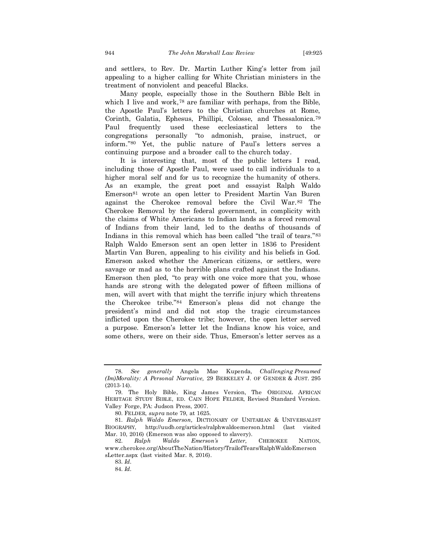and settlers, to Rev. Dr. Martin Luther King's letter from jail appealing to a higher calling for White Christian ministers in the treatment of nonviolent and peaceful Blacks.

Many people, especially those in the Southern Bible Belt in which I live and work,<sup>78</sup> are familiar with perhaps, from the Bible, the Apostle Paul's letters to the Christian churches at Rome, Corinth, Galatia, Ephesus, Phillipi, Colosse, and Thessalonica.<sup>79</sup> Paul frequently used these ecclesiastical letters to the congregations personally "to admonish, praise, instruct, or inform."<sup>80</sup> Yet, the public nature of Paul's letters serves a continuing purpose and a broader call to the church today.

It is interesting that, most of the public letters I read, including those of Apostle Paul, were used to call individuals to a higher moral self and for us to recognize the humanity of others. As an example, the great poet and essayist Ralph Waldo Emerson<sup>81</sup> wrote an open letter to President Martin Van Buren against the Cherokee removal before the Civil War.<sup>82</sup> The Cherokee Removal by the federal government, in complicity with the claims of White Americans to Indian lands as a forced removal of Indians from their land, led to the deaths of thousands of Indians in this removal which has been called "the trail of tears."<sup>83</sup> Ralph Waldo Emerson sent an open letter in 1836 to President Martin Van Buren, appealing to his civility and his beliefs in God. Emerson asked whether the American citizens, or settlers, were savage or mad as to the horrible plans crafted against the Indians. Emerson then pled, "to pray with one voice more that you, whose hands are strong with the delegated power of fifteen millions of men, will avert with that might the terrific injury which threatens the Cherokee tribe."<sup>84</sup> Emerson's pleas did not change the president's mind and did not stop the tragic circumstances inflicted upon the Cherokee tribe; however, the open letter served a purpose. Emerson's letter let the Indians know his voice, and some others, were on their side. Thus, Emerson's letter serves as a

<sup>78.</sup> *See generally* Angela Mae Kupenda, *Challenging Presumed (Im)Morality: A Personal Narrative,* 29 BERKELEY J. OF GENDER & JUST. 295 (2013-14).

<sup>79.</sup> The Holy Bible, King James Version, The ORIGINAL AFRICAN HERITAGE STUDY BIBLE, ED. CAIN HOPE FELDER, Revised Standard Version. Valley Forge, PA: Judson Press, 2007.

<sup>80.</sup> FELDER, *supra* note 79, at 1625.

<sup>81.</sup> *Ralph Waldo Emerson,* DICTIONARY OF UNITARIAN & UNIVERSALIST BIOGRAPHY, http://uudb.org/articles/ralphwaldoemerson.html (last visited Mar. 10, 2016) (Emerson was also opposed to slavery).

<sup>82.</sup> *Ralph Waldo Emerson's Letter,* CHEROKEE NATION, www.cherokee.org/AboutTheNation/History/TrailofTears/RalphWaldoEmerson sLetter.aspx (last visited Mar. 8, 2016).

<sup>83.</sup> *Id.*

<sup>84.</sup> *Id.*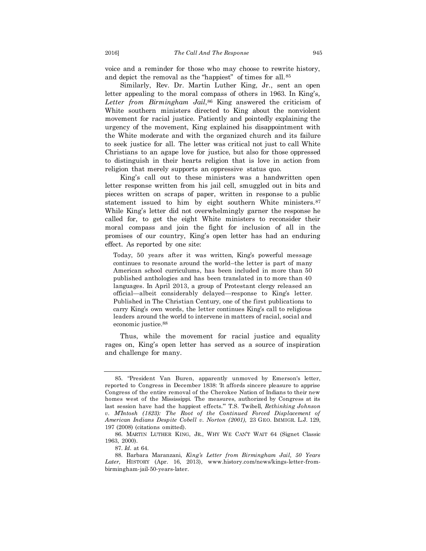voice and a reminder for those who may choose to rewrite history, and depict the removal as the "happiest" of times for all.<sup>85</sup>

Similarly, Rev. Dr. Martin Luther King, Jr., sent an open letter appealing to the moral compass of others in 1963. In King's, *Letter from Birmingham Jail*, <sup>86</sup> King answered the criticism of White southern ministers directed to King about the nonviolent movement for racial justice. Patiently and pointedly explaining the urgency of the movement, King explained his disappointment with the White moderate and with the organized church and its failure to seek justice for all. The letter was critical not just to call White Christians to an agape love for justice, but also for those oppressed to distinguish in their hearts religion that is love in action from religion that merely supports an oppressive status quo.

King's call out to these ministers was a handwritten open letter response written from his jail cell, smuggled out in bits and pieces written on scraps of paper, written in response to a public statement issued to him by eight southern White ministers.<sup>87</sup> While King's letter did not overwhelmingly garner the response he called for, to get the eight White ministers to reconsider their moral compass and join the fight for inclusion of all in the promises of our country, King's open letter has had an enduring effect. As reported by one site:

Today, 50 years after it was written, King's powerful message continues to resonate around the world–the letter is part of many American school curriculums, has been included in more than 50 published anthologies and has been translated in to more than 40 languages. In April 2013, a group of Protestant clergy released an official—albeit considerably delayed—response to King's letter. Published in The Christian Century, one of the first publications to carry King's own words, the letter continues King's call to religious leaders around the world to intervene in matters of racial, social and economic justice.88

Thus, while the movement for racial justice and equality rages on, King's open letter has served as a source of inspiration and challenge for many.

87. *Id.* at 64.

<sup>85.</sup> "President Van Buren, apparently unmoved by Emerson's letter, reported to Congress in December 1838: 'It affords sincere pleasure to apprise Congress of the entire removal of the Cherokee Nation of Indians to their new homes west of the Mississippi. The measures, authorized by Congress at its last session have had the happiest effects.'" T.S. Twibell, *Rethinking Johnson v. M'Intosh (1823): The Root of the Continued Forced Displacement of American Indians Despite Cobell v. Norton (2001),* 23 GEO. IMMIGR. L.J. 129, 197 (2008) (citations omitted).

<sup>86.</sup> MARTIN LUTHER KING, JR., WHY WE CAN'T WAIT 64 (Signet Classic 1963, 2000).

<sup>88.</sup> Barbara Maranzani, *King's Letter from Birmingham Jail, 50 Years Later,* HISTORY (Apr. 16, 2013), www.history.com/news/kings-letter-frombirmingham-jail-50-years-later.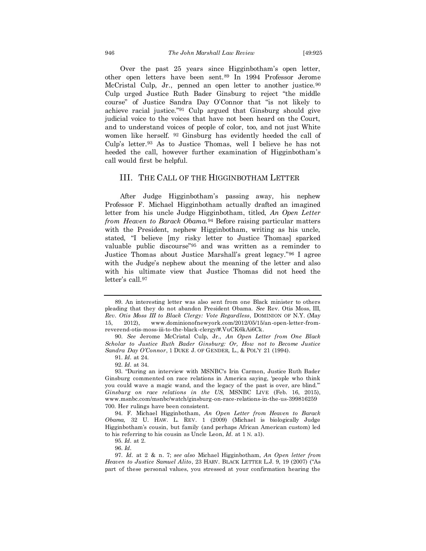Over the past 25 years since Higginbotham's open letter, other open letters have been sent.<sup>89</sup> In 1994 Professor Jerome McCristal Culp, Jr., penned an open letter to another justice.<sup>90</sup> Culp urged Justice Ruth Bader Ginsburg to reject "the middle course" of Justice Sandra Day O'Connor that "is not likely to achieve racial justice."<sup>91</sup> Culp argued that Ginsburg should give judicial voice to the voices that have not been heard on the Court, and to understand voices of people of color, too, and not just White women like herself. <sup>92</sup> Ginsburg has evidently heeded the call of Culp's letter.<sup>93</sup> As to Justice Thomas, well I believe he has not heeded the call, however further examination of Higginbotham's call would first be helpful.

#### III. THE CALL OF THE HIGGINBOTHAM LETTER

After Judge Higginbotham's passing away, his nephew Professor F. Michael Higginbotham actually drafted an imagined letter from his uncle Judge Higginbotham, titled, *An Open Letter from Heaven to Barack Obama.*<sup>94</sup> Before raising particular matters with the President, nephew Higginbotham, writing as his uncle, stated, "I believe [my risky letter to Justice Thomas] sparked valuable public discourse"<sup>95</sup> and was written as a reminder to Justice Thomas about Justice Marshall's great legacy."<sup>96</sup> I agree with the Judge's nephew about the meaning of the letter and also with his ultimate view that Justice Thomas did not heed the letter's call.<sup>97</sup>

<sup>89.</sup> An interesting letter was also sent from one Black minister to others pleading that they do not abandon President Obama. *See* Rev. Otis Moss, III, *Rev. Otis Moss III to Black Clergy: Vote Regardless*, DOMINION OF N.Y. (May 15, 2012), www.dominionofnewyork.com/2012/05/15/an-open-letter-fromreverend-otis-moss-iii-to-the-black-clergy/#.VuCK6kAi6Ck.

<sup>90.</sup> *See* Jerome McCristal Culp, Jr., *An Open Letter from One Black Scholar to Justice Ruth Bader Ginsburg: Or, How not to Become Justice Sandra Day O'Connor*, 1 DUKE J. OF GENDER, L., & POL'Y 21 (1994).

<sup>91.</sup> *Id.* at 24.

<sup>92.</sup> *Id.* at 34.

<sup>93.</sup> "During an interview with MSNBC's Irin Carmon, Justice Ruth Bader Ginsburg commented on race relations in America saying, 'people who think you could wave a magic wand, and the legacy of the past is over, are blind.'" *Ginsburg on race relations in the US,* MSNBC LIVE (Feb. 16, 2015), www.msnbc.com/msnbc/watch/ginsburg-on-race-relations-in-the-us-399816259 700. Her rulings have been consistent.

<sup>94.</sup> F. Michael Higginbotham, *An Open Letter from Heaven to Barack Obama,* 32 U. HAW. L. REV. 1 (2009) (Michael is biologically Judge Higginbotham's cousin, but family (and perhaps African American custom) led to his referring to his cousin as Uncle Leon, *Id.* at 1 N. a1).

<sup>95.</sup> *Id.* at 2.

<sup>96.</sup> *Id.* 

<sup>97.</sup> *Id.* at 2 & n. 7; *see also* Michael Higginbotham, *An Open letter from Heaven to Justice Samuel Alito*, 23 HARV. BLACK LETTER L.J. 9, 19 (2007) ("As part of these personal values, you stressed at your confirmation hearing the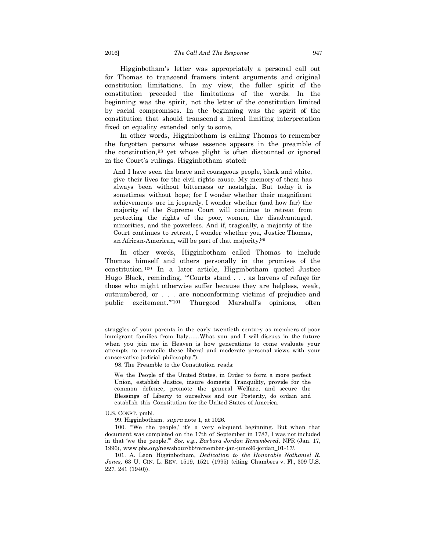Higginbotham's letter was appropriately a personal call out for Thomas to transcend framers intent arguments and original constitution limitations. In my view, the fuller spirit of the constitution preceded the limitations of the words. In the beginning was the spirit, not the letter of the constitution limited by racial compromises. In the beginning was the spirit of the constitution that should transcend a literal limiting interpretation fixed on equality extended only to some.

In other words, Higginbotham is calling Thomas to remember the forgotten persons whose essence appears in the preamble of the constitution,<sup>98</sup> yet whose plight is often discounted or ignored in the Court's rulings. Higginbotham stated:

And I have seen the brave and courageous people, black and white, give their lives for the civil rights cause. My memory of them has always been without bitterness or nostalgia. But today it is sometimes without hope; for I wonder whether their magnificent achievements are in jeopardy. I wonder whether (and how far) the majority of the Supreme Court will continue to retreat from protecting the rights of the poor, women, the disadvantaged, minorities, and the powerless. And if, tragically, a majority of the Court continues to retreat, I wonder whether you, Justice Thomas, an African-American, will be part of that majority.99

In other words, Higginbotham called Thomas to include Thomas himself and others personally in the promises of the constitution.<sup>100</sup> In a later article, Higginbotham quoted Justice Hugo Black, reminding, "Courts stand . . . as havens of refuge for those who might otherwise suffer because they are helpless, weak, outnumbered, or . . . are nonconforming victims of prejudice and public excitement.'"<sup>101</sup> Thurgood Marshall's opinions, often

98. The Preamble to the Constitution reads:

We the People of the United States, in Order to form a more perfect Union, establish Justice, insure domestic Tranquility, provide for the common defence, promote the general Welfare, and secure the Blessings of Liberty to ourselves and our Posterity, do ordain and establish this Constitution for the United States of America.

U.S. CONST. pmbl.

99. Higginbotham, *supra* note 1, at 1026.

100. "'We the people,' it's a very eloquent beginning. But when that document was completed on the 17th of September in 1787, I was not included in that 'we the people.'" *See, e.g., Barbara Jordan Remembered,* NPR (Jan. 17, 1996), www.pbs.org/newshour/bb/remember-jan-june96-jordan\_01-17/.

101. A. Leon Higginbotham, *Dedication to the Honorable Nathaniel R. Jones,* 63 U. CIN. L. REV. 1519, 1521 (1995) (citing Chambers v. Fl., 309 U.S. 227, 241 (1940)).

struggles of your parents in the early twentieth century as members of poor immigrant families from Italy……What you and I will discuss in the future when you join me in Heaven is how generations to come evaluate your attempts to reconcile these liberal and moderate personal views with your conservative judicial philosophy.").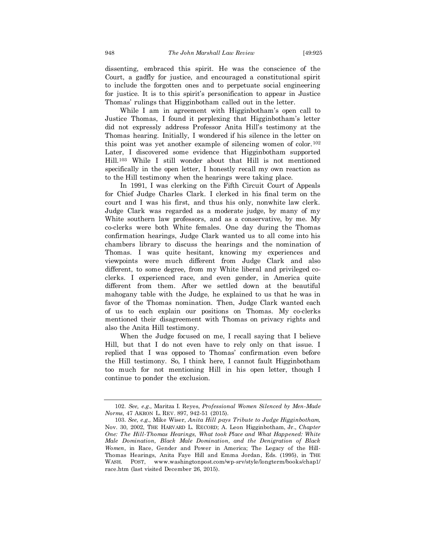dissenting, embraced this spirit. He was the conscience of the Court, a gadfly for justice, and encouraged a constitutional spirit to include the forgotten ones and to perpetuate social engineering for justice. It is to this spirit's personification to appear in Justice Thomas' rulings that Higginbotham called out in the letter.

While I am in agreement with Higginbotham's open call to Justice Thomas, I found it perplexing that Higginbotham's letter did not expressly address Professor Anita Hill's testimony at the Thomas hearing. Initially, I wondered if his silence in the letter on this point was yet another example of silencing women of color.<sup>102</sup> Later, I discovered some evidence that Higginbotham supported Hill.<sup>103</sup> While I still wonder about that Hill is not mentioned specifically in the open letter, I honestly recall my own reaction as to the Hill testimony when the hearings were taking place.

In 1991, I was clerking on the Fifth Circuit Court of Appeals for Chief Judge Charles Clark. I clerked in his final term on the court and I was his first, and thus his only, nonwhite law clerk. Judge Clark was regarded as a moderate judge, by many of my White southern law professors, and as a conservative, by me. My co-clerks were both White females. One day during the Thomas confirmation hearings, Judge Clark wanted us to all come into his chambers library to discuss the hearings and the nomination of Thomas. I was quite hesitant, knowing my experiences and viewpoints were much different from Judge Clark and also different, to some degree, from my White liberal and privileged coclerks. I experienced race, and even gender, in America quite different from them. After we settled down at the beautiful mahogany table with the Judge, he explained to us that he was in favor of the Thomas nomination. Then, Judge Clark wanted each of us to each explain our positions on Thomas. My co-clerks mentioned their disagreement with Thomas on privacy rights and also the Anita Hill testimony.

When the Judge focused on me, I recall saying that I believe Hill, but that I do not even have to rely only on that issue. I replied that I was opposed to Thomas' confirmation even before the Hill testimony. So, I think here, I cannot fault Higginbotham too much for not mentioning Hill in his open letter, though I continue to ponder the exclusion.

<sup>102.</sup> *See, e.g.,* Maritza I. Reyes, *Professional Women Silenced by Men-Made Norms,* 47 AKRON L. REV. 897, 942-51 (2015).

<sup>103.</sup> *See, e.g.,* Mike Wiser, *Anita Hill pays Tribute to Judge Higginbotham,* Nov. 30, 2002, THE HARVARD L. RECORD; A. Leon Higginbotham, Jr., *Chapter One: The Hill-Thomas Hearings, What took Place and What Happened: White Male Domination, Black Male Domination, and the Denigration of Black Women*, in Race, Gender and Power in America; The Legacy of the Hill-Thomas Hearings, Anita Faye Hill and Emma Jordan, Eds. (1995), in THE WASH. POST, www.washingtonpost.com/wp-srv/style/longterm/books/chap1/ race.htm (last visited December 26, 2015).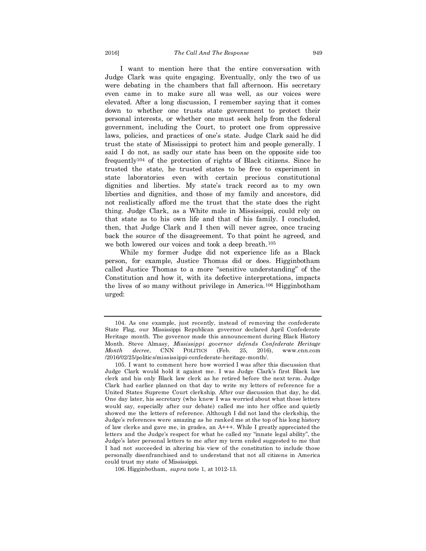I want to mention here that the entire conversation with Judge Clark was quite engaging. Eventually, only the two of us were debating in the chambers that fall afternoon. His secretary even came in to make sure all was well, as our voices were elevated. After a long discussion, I remember saying that it comes down to whether one trusts state government to protect their personal interests, or whether one must seek help from the federal government, including the Court, to protect one from oppressive laws, policies, and practices of one's state. Judge Clark said he did trust the state of Mississippi to protect him and people generally. I said I do not, as sadly our state has been on the opposite side too frequently<sup>104</sup> of the protection of rights of Black citizens. Since he trusted the state, he trusted states to be free to experiment in state laboratories even with certain precious constitutional dignities and liberties. My state's track record as to my own liberties and dignities, and those of my family and ancestors, did not realistically afford me the trust that the state does the right thing. Judge Clark, as a White male in Mississippi, could rely on that state as to his own life and that of his family. I concluded, then, that Judge Clark and I then will never agree, once tracing back the source of the disagreement. To that point he agreed, and we both lowered our voices and took a deep breath.<sup>105</sup>

While my former Judge did not experience life as a Black person, for example, Justice Thomas did or does. Higginbotham called Justice Thomas to a more "sensitive understanding" of the Constitution and how it, with its defective interpretations, impacts the lives of so many without privilege in America.<sup>106</sup> Higginbotham urged:

<sup>104.</sup> As one example, just recently, instead of removing the confederate State Flag, our Mississippi Republican governor declared April Confederate Heritage month. The governor made this announcement during Black History Month. Steve Almasy, *Mississippi governor defends Confederate Heritage Month decree*, CNN POLITICS (Feb. 25, 2016), www.cnn.com /2016/02/25/politics/mississippi-confederate-heritage-month/.

<sup>105.</sup> I want to comment here how worried I was after this discussion that Judge Clark would hold it against me. I was Judge Clark's first Black law clerk and his only Black law clerk as he retired before the next term. Judge Clark had earlier planned on that day to write my letters of reference for a United States Supreme Court clerkship. After our discussion that day, he did. One day later, his secretary (who knew I was worried about what those letters would say, especially after our debate) called me into her office and quietly showed me the letters of reference. Although I did not land the clerkship, the Judge's references were amazing as he ranked me at the top of his long history of law clerks and gave me, in grades, an A+++. While I greatly appreciated the letters and the Judge's respect for what he called my "innate legal ability", the Judge's later personal letters to me after my term ended suggested to me that I had not succeeded in altering his view of the constitution to include those personally disenfranchised and to understand that not all citizens in America could trust my state of Mississippi.

<sup>106.</sup> Higginbotham, *supra* note 1, at 1012-13.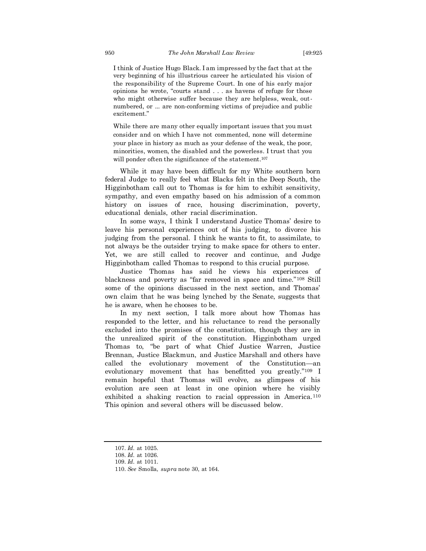I think of Justice Hugo Black. I am impressed by the fact that at the very beginning of his illustrious career he articulated his vision of the responsibility of the Supreme Court. In one of his early major opinions he wrote, "courts stand . . . as havens of refuge for those who might otherwise suffer because they are helpless, weak, outnumbered, or ... are non-conforming victims of prejudice and public excitement."

While there are many other equally important issues that you must consider and on which I have not commented, none will determine your place in history as much as your defense of the weak, the poor, minorities, women, the disabled and the powerless. I trust that you will ponder often the significance of the statement.<sup>107</sup>

While it may have been difficult for my White southern born federal Judge to really feel what Blacks felt in the Deep South, the Higginbotham call out to Thomas is for him to exhibit sensitivity, sympathy, and even empathy based on his admission of a common history on issues of race, housing discrimination, poverty, educational denials, other racial discrimination.

In some ways, I think I understand Justice Thomas' desire to leave his personal experiences out of his judging, to divorce his judging from the personal. I think he wants to fit, to assimilate, to not always be the outsider trying to make space for others to enter. Yet, we are still called to recover and continue, and Judge Higginbotham called Thomas to respond to this crucial purpose.

Justice Thomas has said he views his experiences of blackness and poverty as "far removed in space and time."<sup>108</sup> Still some of the opinions discussed in the next section, and Thomas' own claim that he was being lynched by the Senate, suggests that he is aware, when he chooses to be.

In my next section, I talk more about how Thomas has responded to the letter, and his reluctance to read the personally excluded into the promises of the constitution, though they are in the unrealized spirit of the constitution. Higginbotham urged Thomas to, "be part of what Chief Justice Warren, Justice Brennan, Justice Blackmun, and Justice Marshall and others have called the evolutionary movement of the Constitution—an evolutionary movement that has benefitted you greatly."<sup>109</sup> I remain hopeful that Thomas will evolve, as glimpses of his evolution are seen at least in one opinion where he visibly exhibited a shaking reaction to racial oppression in America.<sup>110</sup> This opinion and several others will be discussed below.

<sup>107.</sup> *Id.* at 1025.

<sup>108.</sup> *Id.* at 1026.

<sup>109.</sup> *Id.* at 1011.

<sup>110.</sup> *See* Smolla, *supra* note 30, at 164.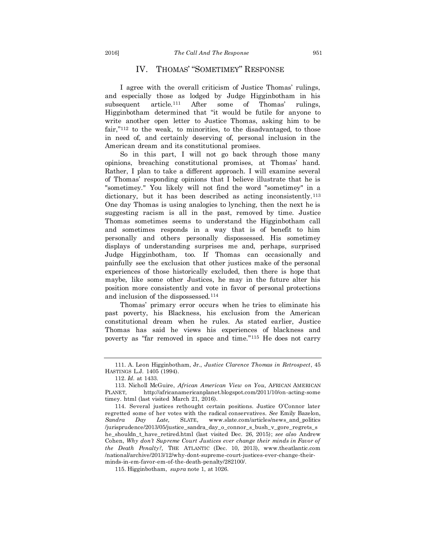### IV. THOMAS' "SOMETIMEY" RESPONSE

I agree with the overall criticism of Justice Thomas' rulings, and especially those as lodged by Judge Higginbotham in his subsequent article.<sup>111</sup> After some of Thomas' rulings, Higginbotham determined that "it would be futile for anyone to write another open letter to Justice Thomas, asking him to be fair,"<sup>112</sup> to the weak, to minorities, to the disadvantaged, to those in need of, and certainly deserving of, personal inclusion in the American dream and its constitutional promises.

So in this part, I will not go back through those many opinions, breaching constitutional promises, at Thomas' hand. Rather, I plan to take a different approach. I will examine several of Thomas' responding opinions that I believe illustrate that he is "sometimey." You likely will not find the word "sometimey" in a dictionary, but it has been described as acting inconsistently.<sup>113</sup> One day Thomas is using analogies to lynching, then the next he is suggesting racism is all in the past, removed by time. Justice Thomas sometimes seems to understand the Higginbotham call and sometimes responds in a way that is of benefit to him personally and others personally dispossessed. His sometimey displays of understanding surprises me and, perhaps, surprised Judge Higginbotham, too. If Thomas can occasionally and painfully see the exclusion that other justices make of the personal experiences of those historically excluded, then there is hope that maybe, like some other Justices, he may in the future alter his position more consistently and vote in favor of personal protections and inclusion of the dispossessed.<sup>114</sup>

Thomas' primary error occurs when he tries to eliminate his past poverty, his Blackness, his exclusion from the American constitutional dream when he rules. As stated earlier, Justice Thomas has said he views his experiences of blackness and poverty as "far removed in space and time."<sup>115</sup> He does not carry

<sup>111.</sup> A. Leon Higginbotham, Jr., *Justice Clarence Thomas in Retrospect*, 45 HASTINGS L.J. 1405 (1994).

<sup>112.</sup> *Id.* at 1433.

<sup>113.</sup> Nicholl McGuire, *African American View on You,* AFRICAN AMERICAN PLANET*,* http://africanamericanplanet.blogspot.com/2011/10/on-acting-some timey. html (last visited March 21, 2016).

<sup>114.</sup> Several justices rethought certain positions. Justice O'Connor later regretted some of her votes with the radical conservatives. *See* Emily Bazelon, *Sandra Day Late,* SLATE, www.slate.com/articles/news\_and\_politics /jurisprudence/2013/05/justice\_sandra\_day\_o\_connor\_s\_bush\_v\_gore\_regrets\_s he\_shouldn\_t\_have\_retired.html (last visited Dec. 26, 2015); *see also* Andrew Cohen, *Why don't Supreme Court Justices ever change their minds in Favor of the Death Penalty?,* THE ATLANTIC (Dec. 10, 2013), www.theatlantic.com /national/archive/2013/12/why-dont-supreme-court-justices-ever-change-theirminds-in-em-favor-em-of-the-death-penalty/282100/.

<sup>115.</sup> Higginbotham, *supra* note 1, at 1026.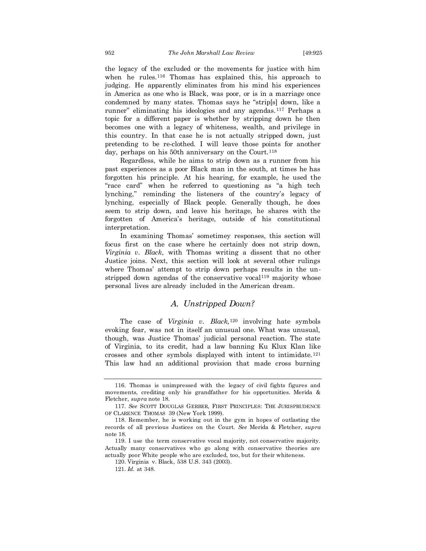the legacy of the excluded or the movements for justice with him when he rules.<sup>116</sup> Thomas has explained this, his approach to judging. He apparently eliminates from his mind his experiences in America as one who is Black, was poor, or is in a marriage once condemned by many states. Thomas says he "strip[s] down, like a runner" eliminating his ideologies and any agendas.<sup>117</sup> Perhaps a topic for a different paper is whether by stripping down he then becomes one with a legacy of whiteness, wealth, and privilege in this country. In that case he is not actually stripped down, just pretending to be re-clothed. I will leave those points for another day, perhaps on his 50th anniversary on the Court.<sup>118</sup>

Regardless, while he aims to strip down as a runner from his past experiences as a poor Black man in the south, at times he has forgotten his principle. At his hearing, for example, he used the "race card" when he referred to questioning as "a high tech lynching," reminding the listeners of the country's legacy of lynching, especially of Black people. Generally though, he does seem to strip down, and leave his heritage, he shares with the forgotten of America's heritage, outside of his constitutional interpretation.

In examining Thomas' sometimey responses, this section will focus first on the case where he certainly does not strip down, *Virginia v. Black*, with Thomas writing a dissent that no other Justice joins. Next, this section will look at several other rulings where Thomas' attempt to strip down perhaps results in the unstripped down agendas of the conservative vocal<sup>119</sup> majority whose personal lives are already included in the American dream.

### *A. Unstripped Down?*

The case of *Virginia v. Black,*<sup>120</sup> involving hate symbols evoking fear, was not in itself an unusual one. What was unusual, though, was Justice Thomas' judicial personal reaction. The state of Virginia, to its credit, had a law banning Ku Klux Klan like crosses and other symbols displayed with intent to intimidate.<sup>121</sup> This law had an additional provision that made cross burning

<sup>116.</sup> Thomas is unimpressed with the legacy of civil fights figures and movements, crediting only his grandfather for his opportunities. Merida & Fletcher, *supra* note 18.

<sup>117.</sup> *See* SCOTT DOUGLAS GERBER, FIRST PRINCIPLES: THE JURISPRUDENCE OF CLARENCE THOMAS 39 (New York 1999).

<sup>118.</sup> Remember, he is working out in the gym in hopes of outlasting the records of all previous Justices on the Court. *See* Merida & Fletcher, *supra* note 18.

<sup>119.</sup> I use the term conservative vocal majority, not conservative majority. Actually many conservatives who go along with conservative theories are actually poor White people who are excluded, too, but for their whiteness.

<sup>120.</sup> Virginia v. Black, 538 U.S. 343 (2003).

<sup>121.</sup> *Id.* at 348.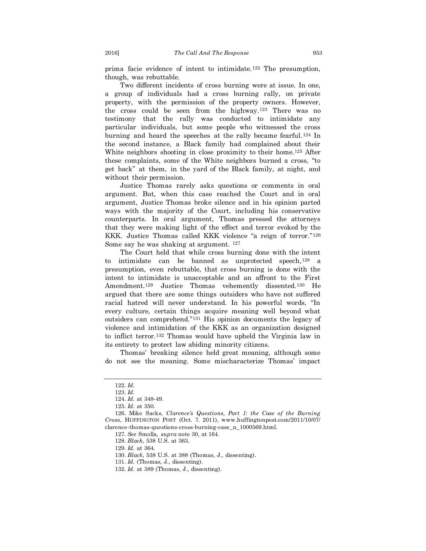prima facie evidence of intent to intimidate.<sup>122</sup> The presumption, though, was rebuttable.

Two different incidents of cross burning were at issue. In one, a group of individuals had a cross burning rally, on private property, with the permission of the property owners. However, the cross could be seen from the highway.<sup>123</sup> There was no testimony that the rally was conducted to intimidate any particular individuals, but some people who witnessed the cross burning and heard the speeches at the rally became fearful.<sup>124</sup> In the second instance, a Black family had complained about their White neighbors shooting in close proximity to their home.<sup>125</sup> After these complaints, some of the White neighbors burned a cross, "to get back" at them, in the yard of the Black family, at night, and without their permission.

Justice Thomas rarely asks questions or comments in oral argument. But, when this case reached the Court and in oral argument, Justice Thomas broke silence and in his opinion parted ways with the majority of the Court, including his conservative counterparts. In oral argument, Thomas pressed the attorneys that they were making light of the effect and terror evoked by the KKK. Justice Thomas called KKK violence "a reign of terror."<sup>126</sup> Some say he was shaking at argument. <sup>127</sup>

The Court held that while cross burning done with the intent to intimidate can be banned as unprotected speech, <sup>128</sup> a presumption, even rebuttable, that cross burning is done with the intent to intimidate is unacceptable and an affront to the First Amendment.<sup>129</sup> Justice Thomas vehemently dissented.<sup>130</sup> He argued that there are some things outsiders who have not suffered racial hatred will never understand. In his powerful words, "In every culture, certain things acquire meaning well beyond what outsiders can comprehend."<sup>131</sup> His opinion documents the legacy of violence and intimidation of the KKK as an organization designed to inflict terror.<sup>132</sup> Thomas would have upheld the Virginia law in its entirety to protect law abiding minority citizens.

Thomas' breaking silence held great meaning, although some do not see the meaning. Some mischaracterize Thomas' impact

129. *Id.* at 364.

130. *Black*, 538 U.S. at 388 (Thomas, J., dissenting).

<sup>122.</sup> *Id.*

<sup>123.</sup> *Id.*

<sup>124.</sup> *Id.* at 348-49.

<sup>125.</sup> *Id.* at 350.

<sup>126.</sup> Mike Sacks, *Clarence's Questions, Part 1: the Case of the Burning Cross*, HUFFINGTON POST (Oct. 7. 2011), www.huffingtonpost.com/2011/10/07/ clarence-thomas-questions-cross-burning-case\_n\_1000569.html.

<sup>127.</sup> *See* Smolla, *supra* note 30, at 164.

<sup>128.</sup> *Black*, 538 U.S. at 363.

<sup>131.</sup> *Id.* (Thomas, J., dissenting).

<sup>132.</sup> *Id.* at 389 (Thomas, J., dissenting).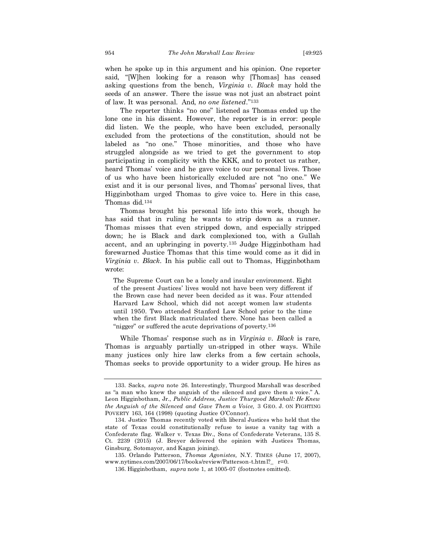when he spoke up in this argument and his opinion. One reporter said, "[W]hen looking for a reason why [Thomas] has ceased asking questions from the bench, *Virginia v. Black* may hold the seeds of an answer. There the issue was not just an abstract point of law. It was personal. And, *no one listened*."<sup>133</sup>

The reporter thinks "no one" listened as Thomas ended up the lone one in his dissent. However, the reporter is in error: people did listen. We the people, who have been excluded, personally excluded from the protections of the constitution, should not be labeled as "no one." Those minorities, and those who have struggled alongside as we tried to get the government to stop participating in complicity with the KKK, and to protect us rather, heard Thomas' voice and he gave voice to our personal lives. Those of us who have been historically excluded are not "no one." We exist and it is our personal lives, and Thomas' personal lives, that Higginbotham urged Thomas to give voice to. Here in this case, Thomas did.<sup>134</sup>

Thomas brought his personal life into this work, though he has said that in ruling he wants to strip down as a runner. Thomas misses that even stripped down, and especially stripped down; he is Black and dark complexioned too, with a Gullah accent, and an upbringing in poverty.<sup>135</sup> Judge Higginbotham had forewarned Justice Thomas that this time would come as it did in *Virginia v. Black*. In his public call out to Thomas, Higginbotham wrote:

The Supreme Court can be a lonely and insular environment. Eight of the present Justices' lives would not have been very different if the Brown case had never been decided as it was. Four attended Harvard Law School, which did not accept women law students until 1950. Two attended Stanford Law School prior to the time when the first Black matriculated there. None has been called a "nigger" or suffered the acute deprivations of poverty.<sup>136</sup>

While Thomas' response such as in *Virginia v. Black* is rare, Thomas is arguably partially un-stripped in other ways. While many justices only hire law clerks from a few certain schools, Thomas seeks to provide opportunity to a wider group. He hires as

<sup>133.</sup> Sacks, *supra* note 26. Interestingly, Thurgood Marshall was described as "a man who knew the anguish of the silenced and gave them a voice." A. Leon Higginbotham, Jr., *Public Address, Justice Thurgood Marshall: He Knew the Anguish of the Silenced and Gave Them a Voice,* 3 GEO. J. ON FIGHTING POVERTY 163, 164 (1998) (quoting Justice O'Connor).

<sup>134.</sup> Justice Thomas recently voted with liberal Justices who held that the state of Texas could constitutionally refuse to issue a vanity tag with a Confederate flag. Walker v. Texas Div., Sons of Confederate Veterans, 135 S. Ct. 2239 (2015) (J. Breyer delivered the opinion with Justices Thomas, Ginsburg, Sotomayor, and Kagan joining).

<sup>135.</sup> Orlando Patterson, *Thomas Agonistes,* N.Y. TIMES (June 17, 2007), www.nytimes.com/2007/06/17/books/review/Patterson-t.html?\_ r=0.

<sup>136.</sup> Higginbotham, *supra* note 1, at 1005-07 (footnotes omitted).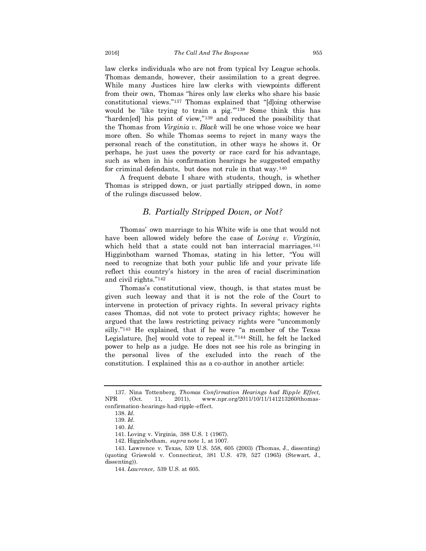law clerks individuals who are not from typical Ivy League schools. Thomas demands, however, their assimilation to a great degree. While many Justices hire law clerks with viewpoints different from their own, Thomas "hires only law clerks who share his basic constitutional views."<sup>137</sup> Thomas explained that "[d]oing otherwise would be 'like trying to train a pig.'"<sup>138</sup> Some think this has "harden[ed] his point of view,"<sup>139</sup> and reduced the possibility that the Thomas from *Virginia v. Black* will be one whose voice we hear more often. So while Thomas seems to reject in many ways the personal reach of the constitution, in other ways he shows it. Or perhaps, he just uses the poverty or race card for his advantage, such as when in his confirmation hearings he suggested empathy for criminal defendants, but does not rule in that way.<sup>140</sup>

A frequent debate I share with students, though, is whether Thomas is stripped down, or just partially stripped down, in some of the rulings discussed below.

#### *B. Partially Stripped Down, or Not?*

Thomas' own marriage to his White wife is one that would not have been allowed widely before the case of *Loving v. Virginia*, which held that a state could not ban interracial marriages.<sup>141</sup> Higginbotham warned Thomas, stating in his letter, "You will need to recognize that both your public life and your private life reflect this country's history in the area of racial discrimination and civil rights."<sup>142</sup>

Thomas's constitutional view, though, is that states must be given such leeway and that it is not the role of the Court to intervene in protection of privacy rights. In several privacy rights cases Thomas, did not vote to protect privacy rights; however he argued that the laws restricting privacy rights were "uncommonly silly."<sup>143</sup> He explained, that if he were "a member of the Texas Legislature, [he] would vote to repeal it."<sup>144</sup> Still, he felt he lacked power to help as a judge. He does not see his role as bringing in the personal lives of the excluded into the reach of the constitution. I explained this as a co-author in another article:

<sup>137.</sup> Nina Tottenberg, *Thomas Confirmation Hearings had Ripple Effect,*  NPR (Oct. 11, 2011), www.npr.org/2011/10/11/141213260/thomasconfirmation-hearings-had-ripple-effect.

<sup>138.</sup> *Id.*

<sup>139.</sup> *Id.*

<sup>140.</sup> *Id.*

<sup>141.</sup> Loving v. Virginia, 388 U.S. 1 (1967).

<sup>142.</sup> Higginbotham, *supra* note 1, at 1007.

<sup>143.</sup> Lawrence v. Texas, 539 U.S. 558, 605 (2003) (Thomas, J., dissenting) (quoting Griswold v. Connecticut*,* 381 U.S. 479, 527 (1965) (Stewart, J., dissenting)).

<sup>144.</sup> *Lawrence*, 539 U.S. at 605.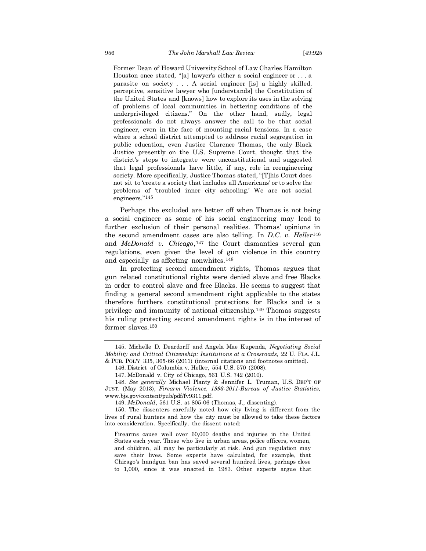Former Dean of Howard University School of Law Charles Hamilton Houston once stated, "[a] lawyer's either a social engineer or . . . a parasite on society . . . A social engineer [is] a highly skilled, perceptive, sensitive lawyer who [understands] the Constitution of the United States and [knows] how to explore its uses in the solving of problems of local communities in bettering conditions of the underprivileged citizens." On the other hand, sadly, legal professionals do not always answer the call to be that social engineer, even in the face of mounting racial tensions. In a case where a school district attempted to address racial segregation in public education, even Justice Clarence Thomas, the only Black Justice presently on the U.S. Supreme Court, thought that the district's steps to integrate were unconstitutional and suggested that legal professionals have little, if any, role in reengineering society. More specifically, Justice Thomas stated, "[T]his Court does not sit to 'create a society that includes all Americans' or to solve the problems of 'troubled inner city schooling.' We are not social engineers."145

Perhaps the excluded are better off when Thomas is not being a social engineer as some of his social engineering may lead to further exclusion of their personal realities. Thomas' opinions in the second amendment cases are also telling. In *D.C. v. Heller*<sup>146</sup> and *McDonald v. Chicago*, <sup>147</sup> the Court dismantles several gun regulations, even given the level of gun violence in this country and especially as affecting nonwhites.<sup>148</sup>

In protecting second amendment rights, Thomas argues that gun related constitutional rights were denied slave and free Blacks in order to control slave and free Blacks. He seems to suggest that finding a general second amendment right applicable to the states therefore furthers constitutional protections for Blacks and is a privilege and immunity of national citizenship.<sup>149</sup> Thomas suggests his ruling protecting second amendment rights is in the interest of former slaves.<sup>150</sup>

<sup>145.</sup> Michelle D. Deardorff and Angela Mae Kupenda, *Negotiating Social Mobility and Critical Citizenship: Institutions at a Crossroads,* 22 U. FLA. J.L. & PUB. POL'Y 335, 365-66 (2011) (internal citations and footnotes omitted).

<sup>146.</sup> District of Columbia v. Heller, 554 U.S. 570 (2008).

<sup>147.</sup> McDonald v. City of Chicago, 561 U.S. 742 (2010).

<sup>148.</sup> *See generally* Michael Planty & Jennifer L. Truman, U.S. DEP'T OF JUST. (May 2013), *Firearm Violence, 1993-2011-Bureau of Justice Statistics,*  www.bjs.gov/content/pub/pdf/fv9311.pdf.

<sup>149.</sup> *McDonald*, 561 U.S. at 805-06 (Thomas, J., dissenting).

<sup>150.</sup> The dissenters carefully noted how city living is different from the lives of rural hunters and how the city must be allowed to take these factors into consideration. Specifically, the dissent noted:

Firearms cause well over 60,000 deaths and injuries in the United States each year. Those who live in urban areas, police officers, women, and children, all may be particularly at risk. And gun regulation may save their lives. Some experts have calculated, for example, that Chicago's handgun ban has saved several hundred lives, perhaps close to 1,000, since it was enacted in 1983. Other experts argue that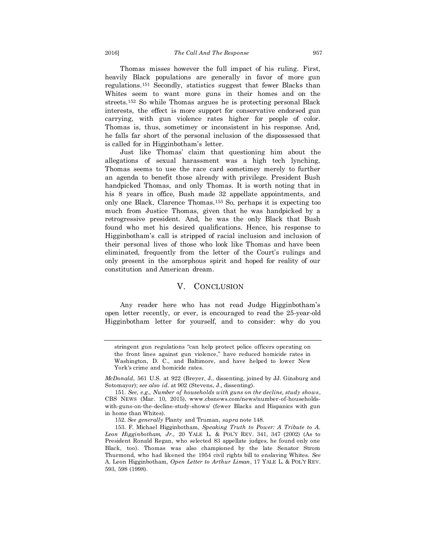Thomas misses however the full impact of his ruling. First, heavily Black populations are generally in favor of more gun regulations.<sup>151</sup> Secondly, statistics suggest that fewer Blacks than Whites seem to want more guns in their homes and on the streets.<sup>152</sup> So while Thomas argues he is protecting personal Black interests, the effect is more support for conservative endorsed gun carrying, with gun violence rates higher for people of color. Thomas is, thus, sometimey or inconsistent in his response. And, he falls far short of the personal inclusion of the dispossessed that is called for in Higginbotham's letter.

Just like Thomas' claim that questioning him about the allegations of sexual harassment was a high tech lynching, Thomas seems to use the race card sometimey merely to further an agenda to benefit those already with privilege. President Bush handpicked Thomas, and only Thomas. It is worth noting that in his 8 years in office, Bush made 32 appellate appointments, and only one Black, Clarence Thomas.<sup>153</sup> So, perhaps it is expecting too much from Justice Thomas, given that he was handpicked by a retrogressive president. And, he was the only Black that Bush found who met his desired qualifications. Hence, his response to Higginbotham's call is stripped of racial inclusion and inclusion of their personal lives of those who look like Thomas and have been eliminated, frequently from the letter of the Court's rulings and only present in the amorphous spirit and hoped for reality of our constitution and American dream.

#### V. CONCLUSION

Any reader here who has not read Judge Higginbotham's open letter recently, or ever, is encouraged to read the 25-year-old Higginbotham letter for yourself, and to consider: why do you

stringent gun regulations "can help protect police officers operating on the front lines against gun violence," have reduced homicide rates in Washington, D. C., and Baltimore, and have helped to lower New York's crime and homicide rates.

*McDonald*, 561 U.S. at 922 (Breyer, J., dissenting, joined by JJ. Ginsburg and Sotomayor); *see also id.* at 902 (Stevens, J., dissenting).

<sup>151.</sup> *See, e.g., Number of households with guns on the decline, study shows*, CBS NEWS (Mar. 10, 2015), www.cbsnews.com/news/number-of-householdswith-guns-on-the-decline-study-shows/ (fewer Blacks and Hispanics with gun in home than Whites).

<sup>152.</sup> *See generally* Planty and Truman, *supra* note 148.

<sup>153.</sup> F. Michael Higginbotham, *Speaking Truth to Power: A Tribute to A. Leon Higginbotham, Jr.,* 20 YALE L. & POL'Y REV. 341, 347 (2002) (As to President Ronald Regan, who selected 83 appellate judges, he found only one Black, too). Thomas was also championed by the late Senator Strom Thurmond, who had likened the 1954 civil rights bill to enslaving Whites. *See*  A. Leon Higginbotham, *Open Letter to Arthur Liman*, 17 YALE L. & POL'Y REV. 593, 598 (1998).